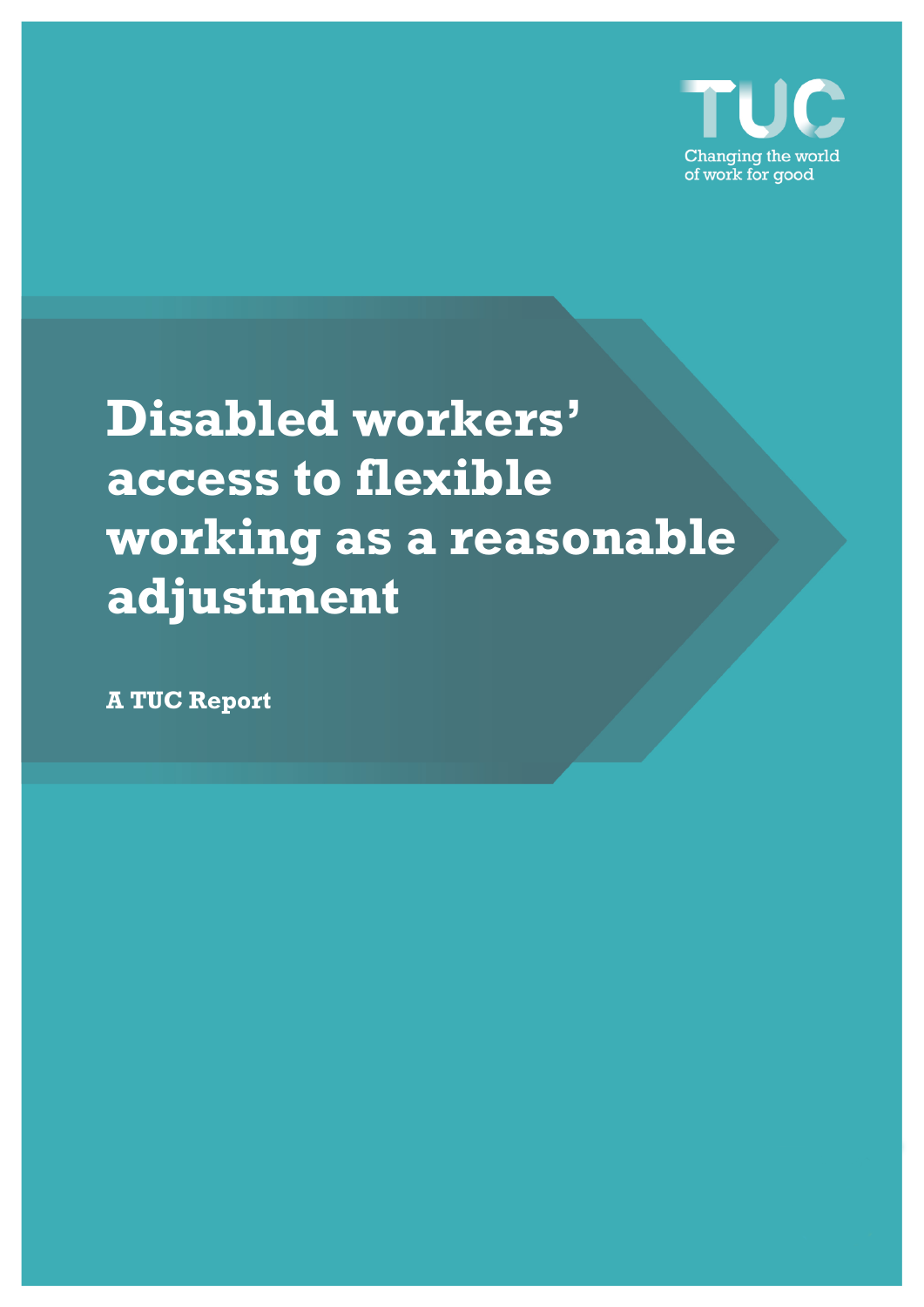

# **Disabled workers' access to flexible working as a reasonable adjustment**

**A TUC Report**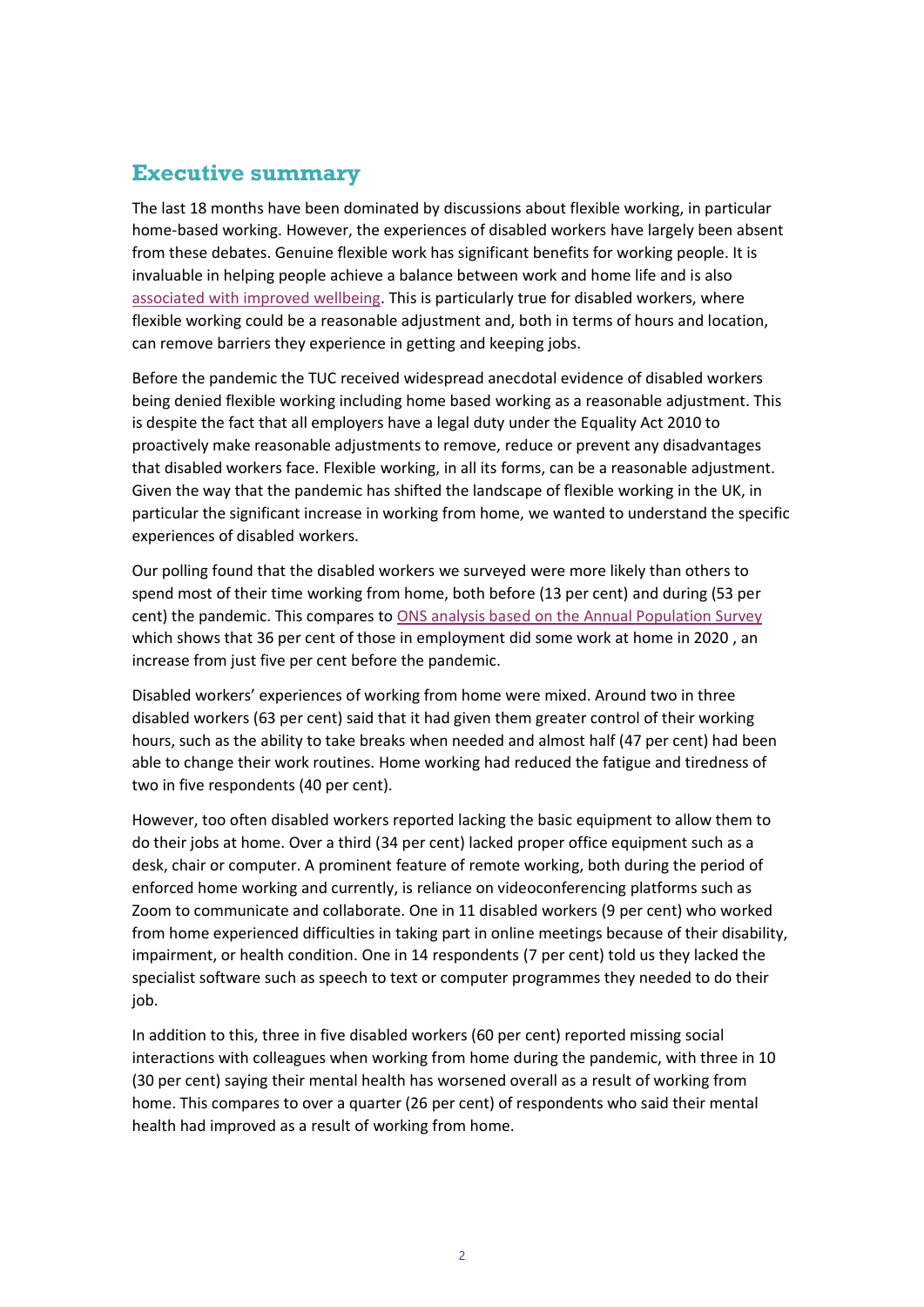## **Executive summary**

The last 18 months have been dominated by discussions about flexible working, in particular home-based working. However, the experiences of disabled workers have largely been absent from these debates. Genuine flexible work has significant benefits for working people. It is invaluable in helping people achieve a balance between work and home life and is also [associated with improved wellbeing.](https://www.cipd.co.uk/Images/megatrends-report-flexible-working-1_tcm18-52769.pdf) This is particularly true for disabled workers, where flexible working could be a reasonable adjustment and, both in terms of hours and location, can remove barriers they experience in getting and keeping jobs.

Before the pandemic the TUC received widespread anecdotal evidence of disabled workers being denied flexible working including home based working as a reasonable adjustment. This is despite the fact that all employers have a legal duty under the Equality Act 2010 to proactively make reasonable adjustments to remove, reduce or prevent any disadvantages that disabled workers face. Flexible working, in all its forms, can be a reasonable adjustment. Given the way that the pandemic has shifted the landscape of flexible working in the UK, in particular the significant increase in working from home, we wanted to understand the specific experiences of disabled workers.

Our polling found that the disabled workers we surveyed were more likely than others to spend most of their time working from home, both before (13 per cent) and during (53 per cent) the pandemic. This compares to [ONS analysis based on the Annual Population Survey](https://www.ons.gov.uk/employmentandlabourmarket/peopleinwork/labourproductivity/articles/homeworkinghoursrewardsandopportunitiesintheuk2011to2020/2021-04-19) which shows that 36 per cent of those in employment did some work at home in 2020 , an increase from just five per cent before the pandemic.

Disabled workers' experiences of working from home were mixed. Around two in three disabled workers (63 per cent) said that it had given them greater control of their working hours, such as the ability to take breaks when needed and almost half (47 per cent) had been able to change their work routines. Home working had reduced the fatigue and tiredness of two in five respondents (40 per cent).

However, too often disabled workers reported lacking the basic equipment to allow them to do their jobs at home. Over a third (34 per cent) lacked proper office equipment such as a desk, chair or computer. A prominent feature of remote working, both during the period of enforced home working and currently, is reliance on videoconferencing platforms such as Zoom to communicate and collaborate. One in 11 disabled workers (9 per cent) who worked from home experienced difficulties in taking part in online meetings because of their disability, impairment, or health condition. One in 14 respondents (7 per cent) told us they lacked the specialist software such as speech to text or computer programmes they needed to do their job.

In addition to this, three in five disabled workers (60 per cent) reported missing social interactions with colleagues when working from home during the pandemic, with three in 10 (30 per cent) saying their mental health has worsened overall as a result of working from home. This compares to over a quarter (26 per cent) of respondents who said their mental health had improved as a result of working from home.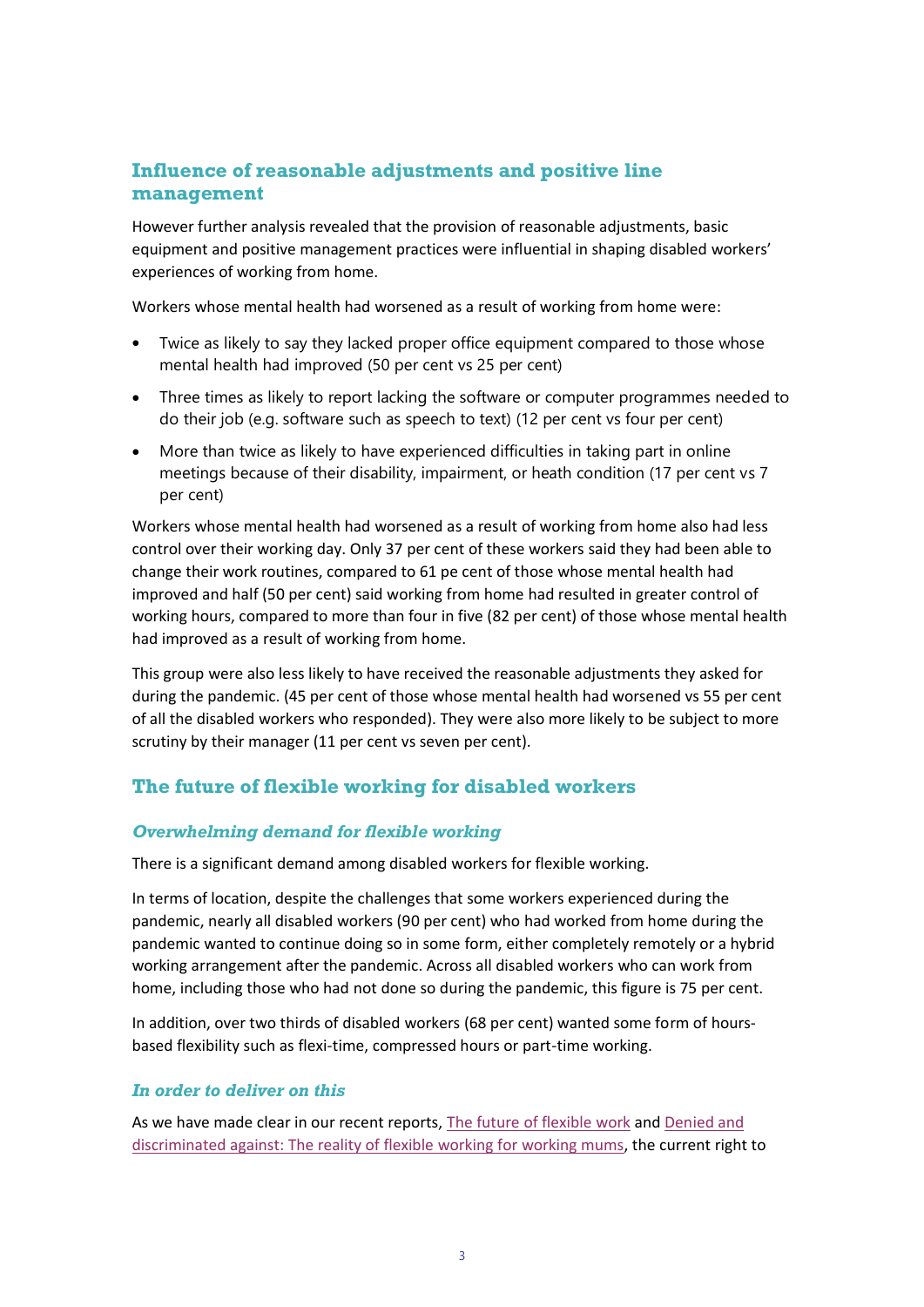## **Influence of reasonable adjustments and positive line management**

However further analysis revealed that the provision of reasonable adjustments, basic equipment and positive management practices were influential in shaping disabled workers' experiences of working from home.

Workers whose mental health had worsened as a result of working from home were:

- Twice as likely to say they lacked proper office equipment compared to those whose mental health had improved (50 per cent vs 25 per cent)
- Three times as likely to report lacking the software or computer programmes needed to do their job (e.g. software such as speech to text) (12 per cent vs four per cent)
- More than twice as likely to have experienced difficulties in taking part in online meetings because of their disability, impairment, or heath condition (17 per cent vs 7 per cent)

Workers whose mental health had worsened as a result of working from home also had less control over their working day. Only 37 per cent of these workers said they had been able to change their work routines, compared to 61 pe cent of those whose mental health had improved and half (50 per cent) said working from home had resulted in greater control of working hours, compared to more than four in five (82 per cent) of those whose mental health had improved as a result of working from home.

This group were also less likely to have received the reasonable adjustments they asked for during the pandemic. (45 per cent of those whose mental health had worsened vs 55 per cent of all the disabled workers who responded). They were also more likely to be subject to more scrutiny by their manager (11 per cent vs seven per cent).

## **The future of flexible working for disabled workers**

#### *Overwhelming demand for flexible working*

There is a significant demand among disabled workers for flexible working.

In terms of location, despite the challenges that some workers experienced during the pandemic, nearly all disabled workers (90 per cent) who had worked from home during the pandemic wanted to continue doing so in some form, either completely remotely or a hybrid working arrangement after the pandemic. Across all disabled workers who can work from home, including those who had not done so during the pandemic, this figure is 75 per cent.

In addition, over two thirds of disabled workers (68 per cent) wanted some form of hoursbased flexibility such as flexi-time, compressed hours or part-time working.

#### *In order to deliver on this*

As we have made clear in our recent reports, [The future of flexible work](https://www.tuc.org.uk/research-analysis/reports/future-flexible-work) and Denied and [discriminated against: The reality of flexible working for working mums,](https://www.tuc.org.uk/sites/default/files/2021-10/Report.pdf) the current right to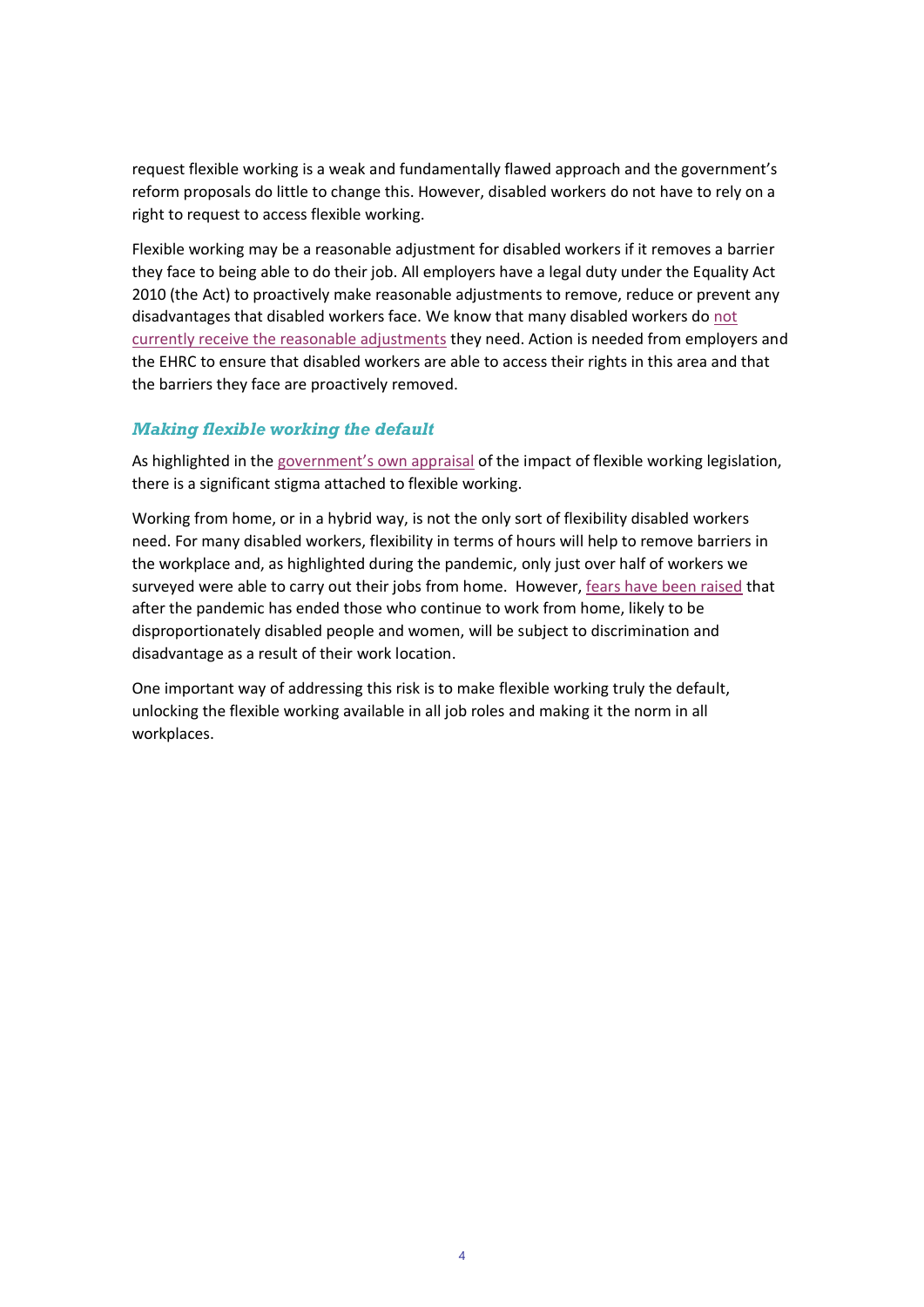request flexible working is a weak and fundamentally flawed approach and the government's reform proposals do little to change this. However, disabled workers do not have to rely on a right to request to access flexible working.

Flexible working may be a reasonable adjustment for disabled workers if it removes a barrier they face to being able to do their job. All employers have a legal duty under the Equality Act 2010 (the Act) to proactively make reasonable adjustments to remove, reduce or prevent any disadvantages that disabled workers face. We know that many disabled workers do [not](https://www.tuc.org.uk/sites/default/files/2021-06/Outline%20Report%20-%20Covid-19%20and%20Disabled%20Workers.pdf)  [currently receive the reasonable adjustments](https://www.tuc.org.uk/sites/default/files/2021-06/Outline%20Report%20-%20Covid-19%20and%20Disabled%20Workers.pdf) they need. Action is needed from employers and the EHRC to ensure that disabled workers are able to access their rights in this area and that the barriers they face are proactively removed.

#### *Making flexible working the default*

As highlighted in the [government's own appraisal](https://www.legislation.gov.uk/uksi/2014/1398/pdfs/uksiod_20141398_en.pdf) of the impact of flexible working legislation, there is a significant stigma attached to flexible working.

Working from home, or in a hybrid way, is not the only sort of flexibility disabled workers need. For many disabled workers, flexibility in terms of hours will help to remove barriers in the workplace and, as highlighted during the pandemic, only just over half of workers we surveyed were able to carry out their jobs from home. However[, fears have been raised](https://www.theguardian.com/business/2021/jun/19/switch-to-more-home-working-after-covid-will-make-gender-inequality-worse) that after the pandemic has ended those who continue to work from home, likely to be disproportionately disabled people and women, will be subject to discrimination and disadvantage as a result of their work location.

One important way of addressing this risk is to make flexible working truly the default, unlocking the flexible working available in all job roles and making it the norm in all workplaces.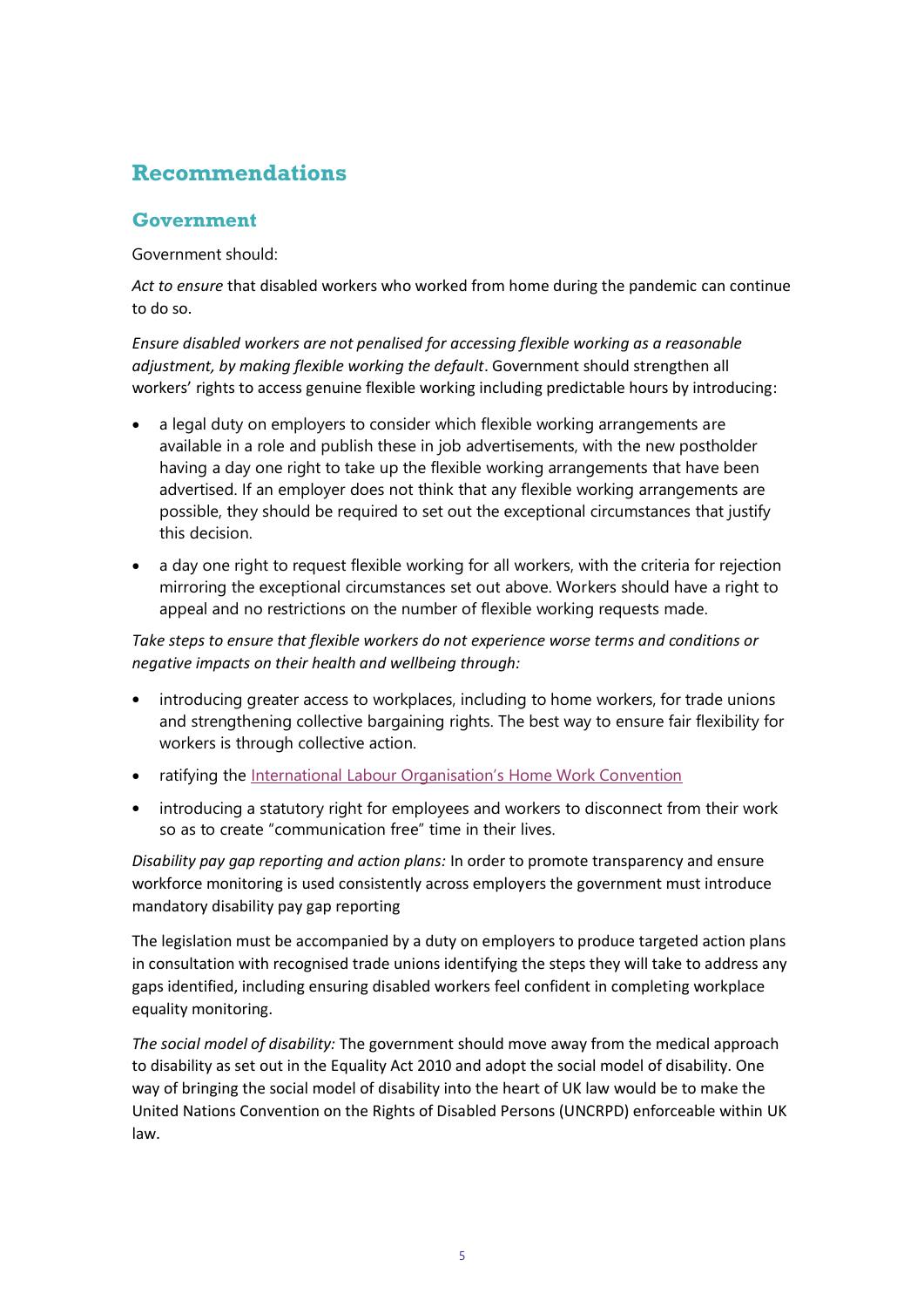# **Recommendations**

#### **Government**

Government should:

*Act to ensure* that disabled workers who worked from home during the pandemic can continue to do so.

*Ensure disabled workers are not penalised for accessing flexible working as a reasonable adjustment, by making flexible working the default*. Government should strengthen all workers' rights to access genuine flexible working including predictable hours by introducing:

- a legal duty on employers to consider which flexible working arrangements are available in a role and publish these in job advertisements, with the new postholder having a day one right to take up the flexible working arrangements that have been advertised. If an employer does not think that any flexible working arrangements are possible, they should be required to set out the exceptional circumstances that justify this decision.
- a day one right to request flexible working for all workers, with the criteria for rejection mirroring the exceptional circumstances set out above. Workers should have a right to appeal and no restrictions on the number of flexible working requests made.

*Take steps to ensure that flexible workers do not experience worse terms and conditions or negative impacts on their health and wellbeing through:* 

- introducing greater access to workplaces, including to home workers, for trade unions and strengthening collective bargaining rights. The best way to ensure fair flexibility for workers is through collective action.
- ratifying the [International Labour Organisation's Home Work Convention](https://www.ilo.org/dyn/normlex/en/f?p=NORMLEXPUB:12100:0::NO::P12100_INSTRUMENT_ID:312322)
- introducing a statutory right for employees and workers to disconnect from their work so as to create "communication free" time in their lives.

*Disability pay gap reporting and action plans:* In order to promote transparency and ensure workforce monitoring is used consistently across employers the government must introduce mandatory disability pay gap reporting

The legislation must be accompanied by a duty on employers to produce targeted action plans in consultation with recognised trade unions identifying the steps they will take to address any gaps identified, including ensuring disabled workers feel confident in completing workplace equality monitoring.

*The social model of disability:* The government should move away from the medical approach to disability as set out in the Equality Act 2010 and adopt the social model of disability. One way of bringing the social model of disability into the heart of UK law would be to make the United Nations Convention on the Rights of Disabled Persons (UNCRPD) enforceable within UK law.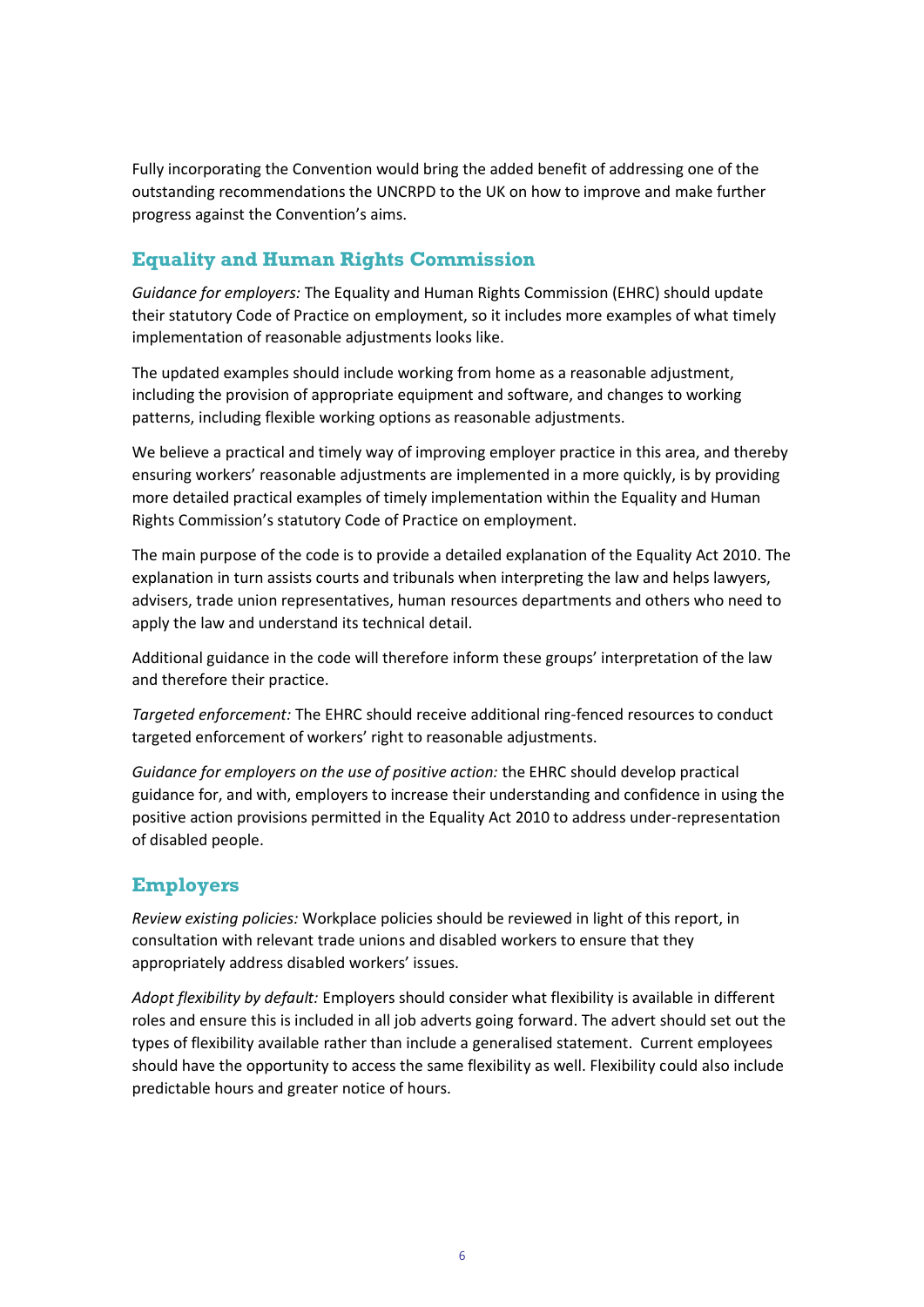Fully incorporating the Convention would bring the added benefit of addressing one of the outstanding recommendations the UNCRPD to the UK on how to improve and make further progress against the Convention's aims.

## **Equality and Human Rights Commission**

*Guidance for employers:* The Equality and Human Rights Commission (EHRC) should update their statutory Code of Practice on employment, so it includes more examples of what timely implementation of reasonable adjustments looks like.

The updated examples should include working from home as a reasonable adjustment, including the provision of appropriate equipment and software, and changes to working patterns, including flexible working options as reasonable adjustments.

We believe a practical and timely way of improving employer practice in this area, and thereby ensuring workers' reasonable adjustments are implemented in a more quickly, is by providing more detailed practical examples of timely implementation within the Equality and Human Rights Commission's statutory Code of Practice on employment.

The main purpose of the code is to provide a detailed explanation of the Equality Act 2010. The explanation in turn assists courts and tribunals when interpreting the law and helps lawyers, advisers, trade union representatives, human resources departments and others who need to apply the law and understand its technical detail.

Additional guidance in the code will therefore inform these groups' interpretation of the law and therefore their practice.

*Targeted enforcement:* The EHRC should receive additional ring-fenced resources to conduct targeted enforcement of workers' right to reasonable adjustments.

*Guidance for employers on the use of positive action:* the EHRC should develop practical guidance for, and with, employers to increase their understanding and confidence in using the positive action provisions permitted in the Equality Act 2010 to address under-representation of disabled people.

#### **Employers**

*Review existing policies:* Workplace policies should be reviewed in light of this report, in consultation with relevant trade unions and disabled workers to ensure that they appropriately address disabled workers' issues.

*Adopt flexibility by default:* Employers should consider what flexibility is available in different roles and ensure this is included in all job adverts going forward. The advert should set out the types of flexibility available rather than include a generalised statement. Current employees should have the opportunity to access the same flexibility as well. Flexibility could also include predictable hours and greater notice of hours.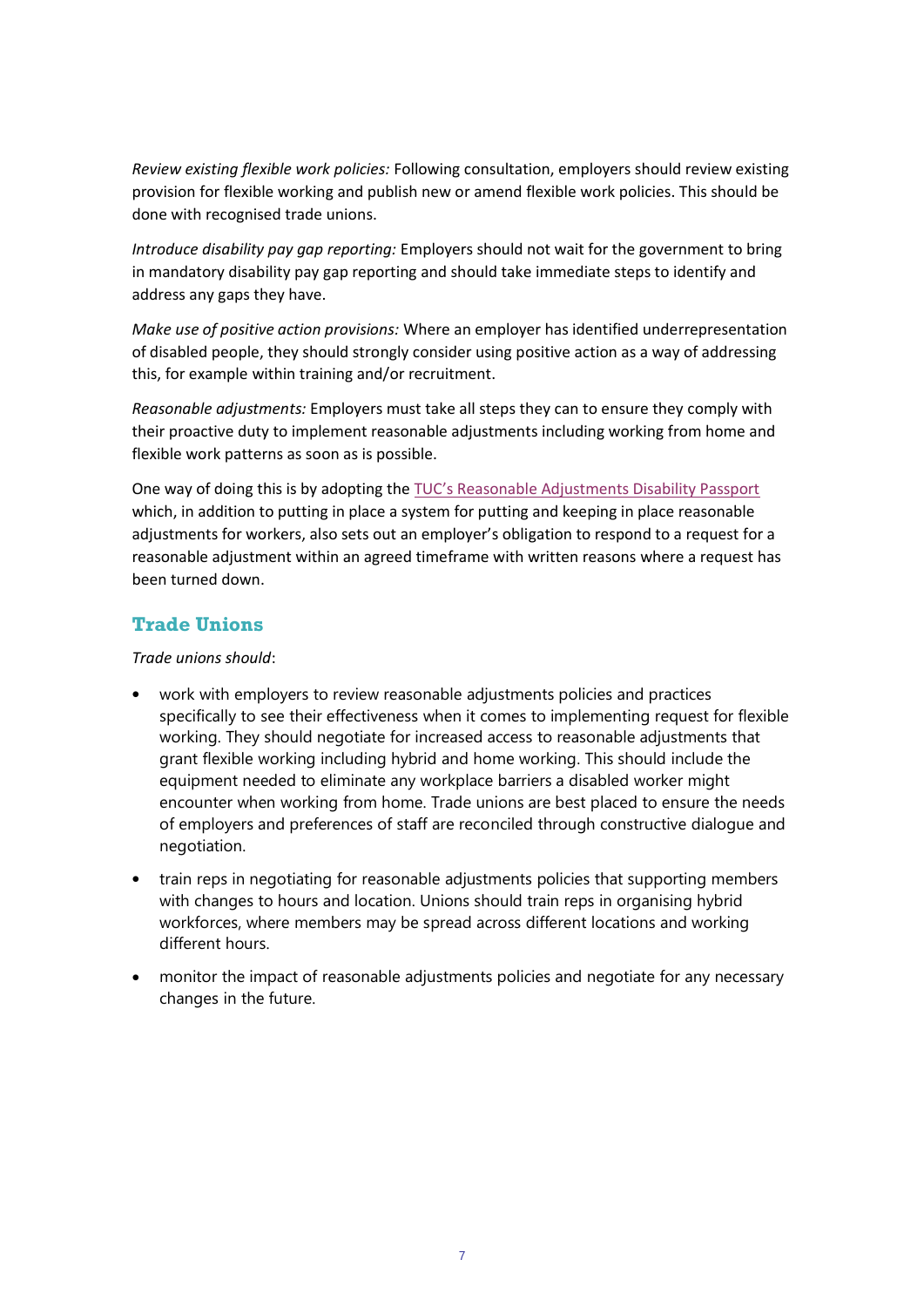*Review existing flexible work policies:* Following consultation, employers should review existing provision for flexible working and publish new or amend flexible work policies. This should be done with recognised trade unions.

*Introduce disability pay gap reporting:* Employers should not wait for the government to bring in mandatory disability pay gap reporting and should take immediate steps to identify and address any gaps they have.

*Make use of positive action provisions:* Where an employer has identified underrepresentation of disabled people, they should strongly consider using positive action as a way of addressing this, for example within training and/or recruitment.

*Reasonable adjustments:* Employers must take all steps they can to ensure they comply with their proactive duty to implement reasonable adjustments including working from home and flexible work patterns as soon as is possible.

One way of doing this is by adopting the [TUC's Reasonable Adjustments Disability Passport](https://www.tuc.org.uk/research-analysis/reports/reasonable-adjustments-disability-passports) which, in addition to putting in place a system for putting and keeping in place reasonable adjustments for workers, also sets out an employer's obligation to respond to a request for a reasonable adjustment within an agreed timeframe with written reasons where a request has been turned down.

#### **Trade Unions**

*Trade unions should*:

- work with employers to review reasonable adjustments policies and practices specifically to see their effectiveness when it comes to implementing request for flexible working. They should negotiate for increased access to reasonable adjustments that grant flexible working including hybrid and home working. This should include the equipment needed to eliminate any workplace barriers a disabled worker might encounter when working from home. Trade unions are best placed to ensure the needs of employers and preferences of staff are reconciled through constructive dialogue and negotiation.
- train reps in negotiating for reasonable adjustments policies that supporting members with changes to hours and location. Unions should train reps in organising hybrid workforces, where members may be spread across different locations and working different hours.
- monitor the impact of reasonable adjustments policies and negotiate for any necessary changes in the future.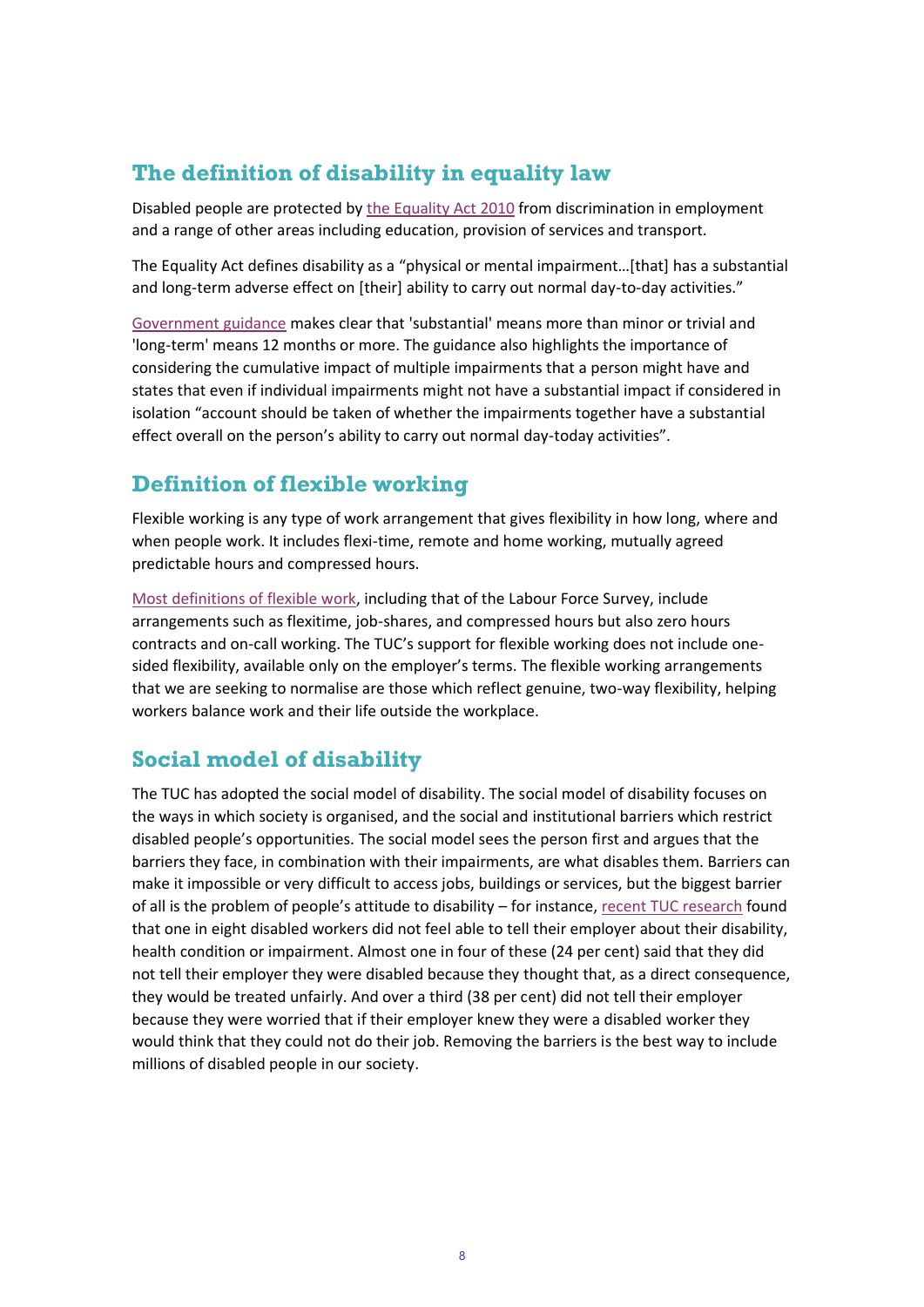# **The definition of disability in equality law**

Disabled people are protected by [the Equality Act 2010](https://www.legislation.gov.uk/ukpga/2010/15/section/6/enacted) from discrimination in employment and a range of other areas including education, provision of services and transport.

The Equality Act defines disability as a "physical or mental impairment…[that] has a substantial and long-term adverse effect on [their] ability to carry out normal day-to-day activities."

[Government guidance](https://assets.publishing.service.gov.uk/government/uploads/system/uploads/attachment_data/file/570382/Equality_Act_2010-disability_definition.pdf) makes clear that 'substantial' means more than minor or trivial and 'long-term' means 12 months or more. The guidance also highlights the importance of considering the cumulative impact of multiple impairments that a person might have and states that even if individual impairments might not have a substantial impact if considered in isolation "account should be taken of whether the impairments together have a substantial effect overall on the person's ability to carry out normal day-today activities".

# **Definition of flexible working**

Flexible working is any type of work arrangement that gives flexibility in how long, where and when people work. It includes flexi-time, remote and home working, mutually agreed predictable hours and compressed hours.

[Most definitions of flexible work,](https://www.tuc.org.uk/research-analysis/reports/future-flexible-work) including that of the Labour Force Survey, include arrangements such as flexitime, job-shares, and compressed hours but also zero hours contracts and on-call working. The TUC's support for flexible working does not include onesided flexibility, available only on the employer's terms. The flexible working arrangements that we are seeking to normalise are those which reflect genuine, two-way flexibility, helping workers balance work and their life outside the workplace.

# **Social model of disability**

The TUC has adopted the social model of disability. The social model of disability focuses on the ways in which society is organised, and the social and institutional barriers which restrict disabled people's opportunities. The social model sees the person first and argues that the barriers they face, in combination with their impairments, are what disables them. Barriers can make it impossible or very difficult to access jobs, buildings or services, but the biggest barrier of all is the problem of people's attitude to disability – for instance[, recent TUC research](https://www.tuc.org.uk/research-analysis/reports/disabled-workers-experiences-during-pandemic) found that one in eight disabled workers did not feel able to tell their employer about their disability, health condition or impairment. Almost one in four of these (24 per cent) said that they did not tell their employer they were disabled because they thought that, as a direct consequence, they would be treated unfairly. And over a third (38 per cent) did not tell their employer because they were worried that if their employer knew they were a disabled worker they would think that they could not do their job. Removing the barriers is the best way to include millions of disabled people in our society.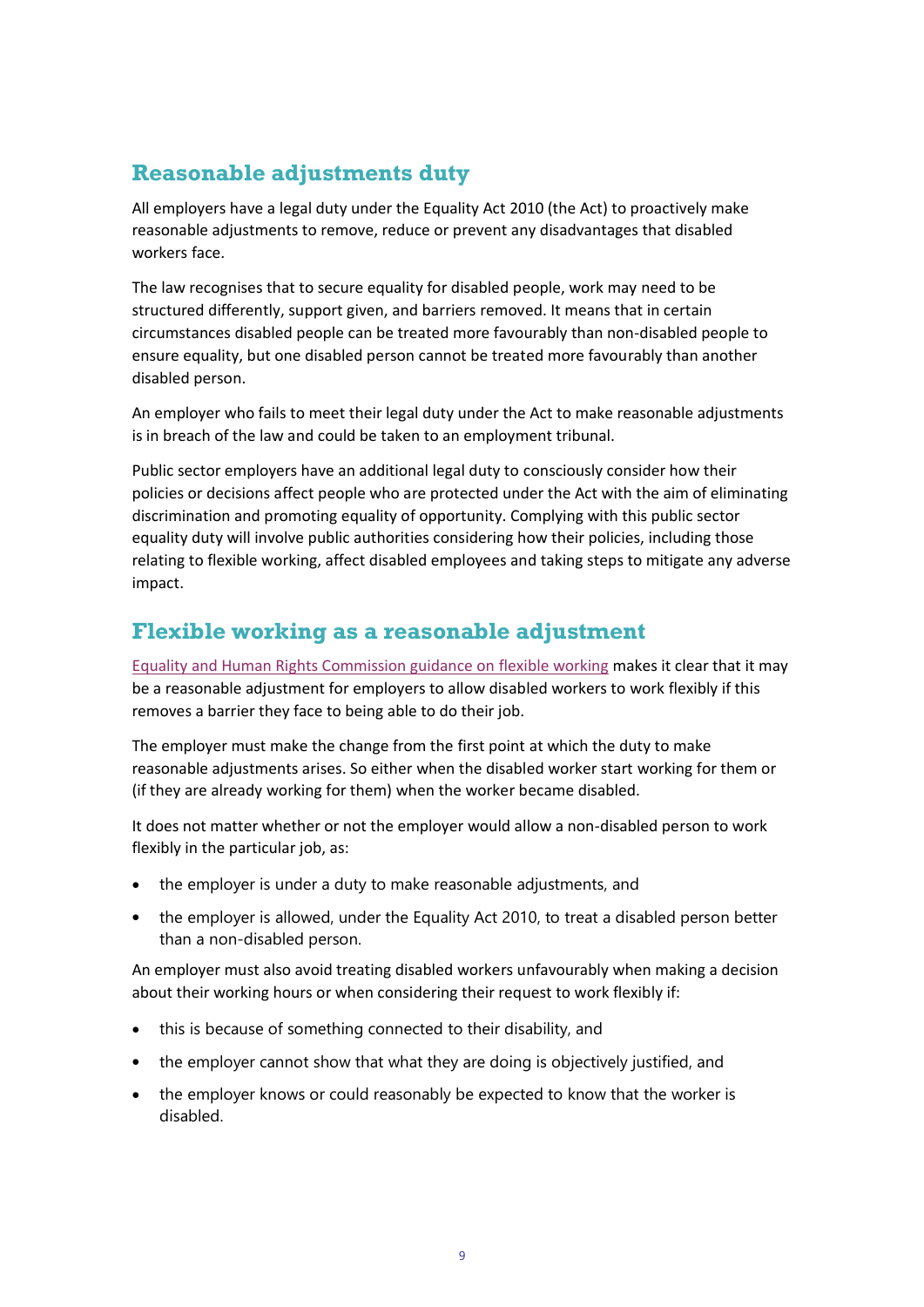# **Reasonable adjustments duty**

All employers have a legal duty under the Equality Act 2010 (the Act) to proactively make reasonable adjustments to remove, reduce or prevent any disadvantages that disabled workers face.

The law recognises that to secure equality for disabled people, work may need to be structured differently, support given, and barriers removed. It means that in certain circumstances disabled people can be treated more favourably than non-disabled people to ensure equality, but one disabled person cannot be treated more favourably than another disabled person.

An employer who fails to meet their legal duty under the Act to make reasonable adjustments is in breach of the law and could be taken to an employment tribunal.

Public sector employers have an additional legal duty to consciously consider how their policies or decisions affect people who are protected under the Act with the aim of eliminating discrimination and promoting equality of opportunity. Complying with this public sector equality duty will involve public authorities considering how their policies, including those relating to flexible working, affect disabled employees and taking steps to mitigate any adverse impact.

## **Flexible working as a reasonable adjustment**

[Equality and Human Rights Commission guidance on flexible working](https://www.equalityhumanrights.com/sites/default/files/your_rights_working_hours_and_flexible_working.pdf) makes it clear that it may be a reasonable adjustment for employers to allow disabled workers to work flexibly if this removes a barrier they face to being able to do their job.

The employer must make the change from the first point at which the duty to make reasonable adjustments arises. So either when the disabled worker start working for them or (if they are already working for them) when the worker became disabled.

It does not matter whether or not the employer would allow a non-disabled person to work flexibly in the particular job, as:

- the employer is under a duty to make reasonable adjustments, and
- the employer is allowed, under the Equality Act 2010, to treat a disabled person better than a non-disabled person.

An employer must also avoid treating disabled workers unfavourably when making a decision about their working hours or when considering their request to work flexibly if:

- this is because of something connected to their disability, and
- the employer cannot show that what they are doing is objectively justified, and
- the employer knows or could reasonably be expected to know that the worker is disabled.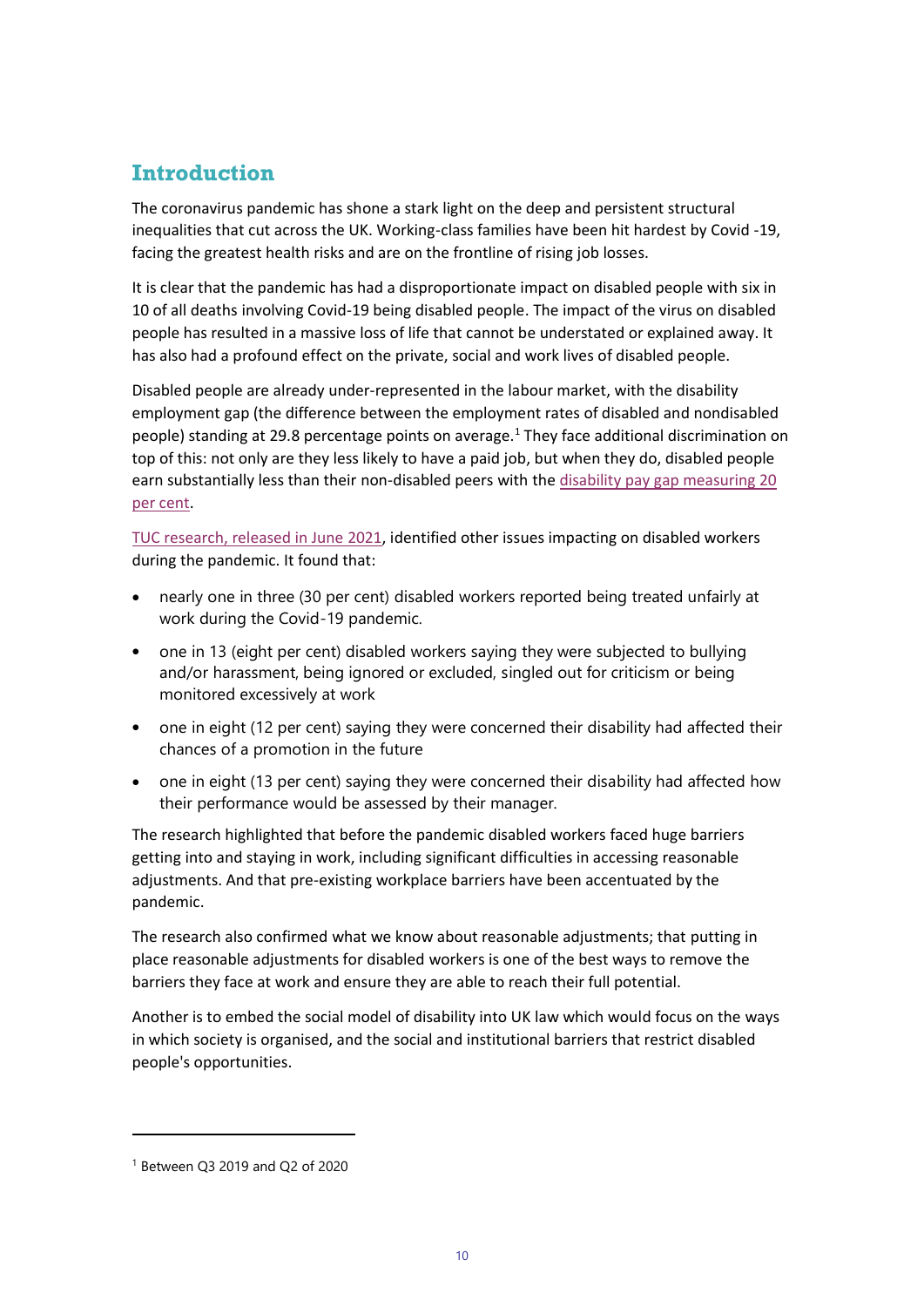# **Introduction**

The coronavirus pandemic has shone a stark light on the deep and persistent structural inequalities that cut across the UK. Working-class families have been hit hardest by Covid -19, facing the greatest health risks and are on the frontline of rising job losses.

It is clear that the pandemic has had a disproportionate impact on disabled people with six in 10 of all deaths involving Covid-19 being disabled people. The impact of the virus on disabled people has resulted in a massive loss of life that cannot be understated or explained away. It has also had a profound effect on the private, social and work lives of disabled people.

Disabled people are already under-represented in the labour market, with the disability employment gap (the difference between the employment rates of disabled and nondisabled people) standing at 29.8 percentage points on average.<sup>1</sup> They face additional discrimination on top of this: not only are they less likely to have a paid job, but when they do, disabled people earn substantially less than their non-disabled peers with the disability pay gap measuring 20 [per cent.](https://www.tuc.org.uk/research-analysis/reports/disability-pay-and-employment-gaps)

TUC research, [released in June 2021,](https://www.tuc.org.uk/sites/default/files/2021-06/Outline%20Report%20-%20Covid-19%20and%20Disabled%20Workers.pdf) identified other issues impacting on disabled workers during the pandemic. It found that:

- nearly one in three (30 per cent) disabled workers reported being treated unfairly at work during the Covid-19 pandemic.
- one in 13 (eight per cent) disabled workers saying they were subjected to bullying and/or harassment, being ignored or excluded, singled out for criticism or being monitored excessively at work
- one in eight (12 per cent) saying they were concerned their disability had affected their chances of a promotion in the future
- one in eight (13 per cent) saying they were concerned their disability had affected how their performance would be assessed by their manager.

The research highlighted that before the pandemic disabled workers faced huge barriers getting into and staying in work, including significant difficulties in accessing reasonable adjustments. And that pre-existing workplace barriers have been accentuated by the pandemic.

The research also confirmed what we know about reasonable adjustments; that putting in place reasonable adjustments for disabled workers is one of the best ways to remove the barriers they face at work and ensure they are able to reach their full potential.

Another is to embed the social model of disability into UK law which would focus on the ways in which society is organised, and the social and institutional barriers that restrict disabled people's opportunities.

<sup>1</sup> Between Q3 2019 and Q2 of 2020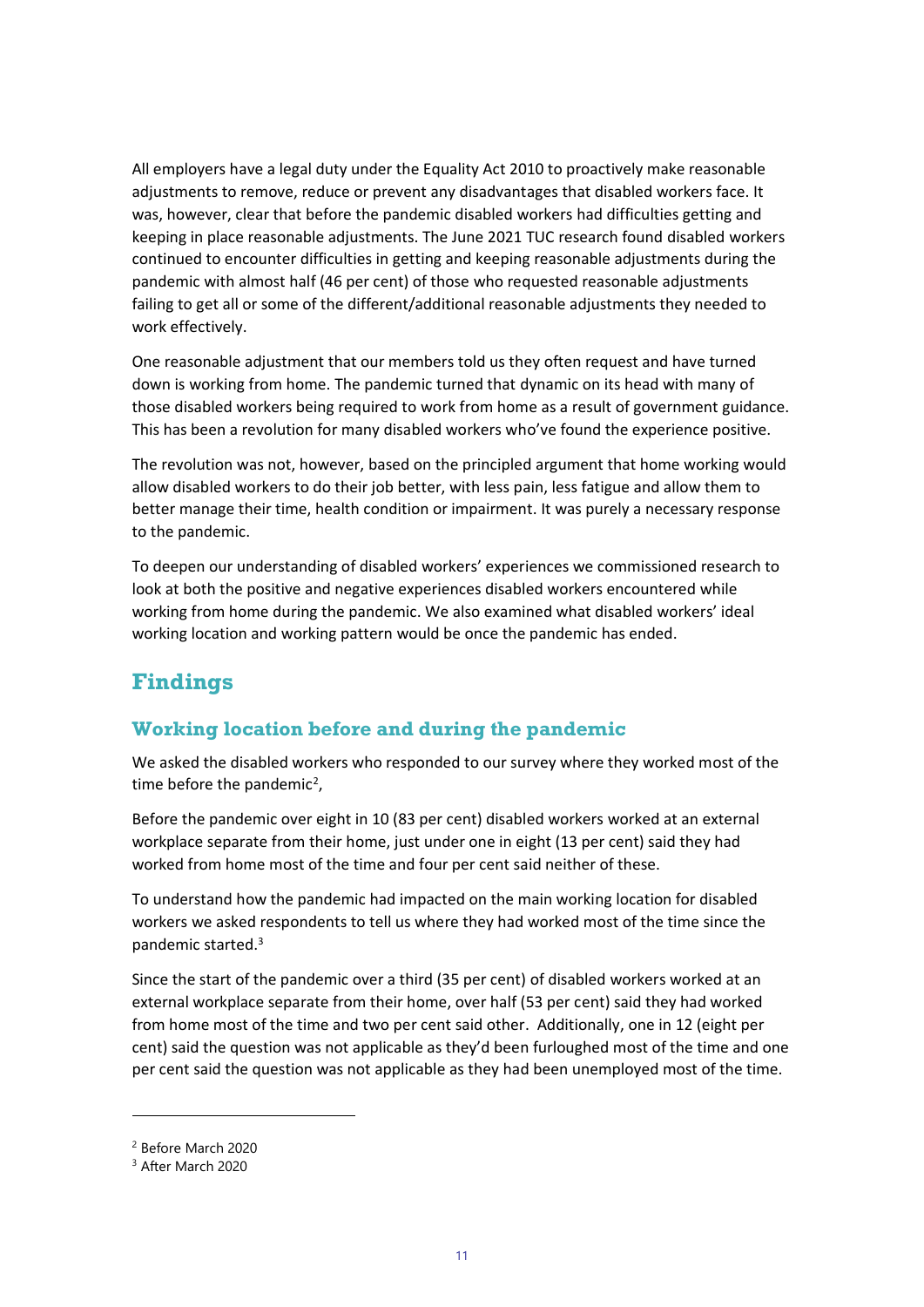All employers have a legal duty under the Equality Act 2010 to proactively make reasonable adjustments to remove, reduce or prevent any disadvantages that disabled workers face. It was, however, clear that before the pandemic disabled workers had difficulties getting and keeping in place reasonable adjustments. The June 2021 TUC research found disabled workers continued to encounter difficulties in getting and keeping reasonable adjustments during the pandemic with almost half (46 per cent) of those who requested reasonable adjustments failing to get all or some of the different/additional reasonable adjustments they needed to work effectively.

One reasonable adjustment that our members told us they often request and have turned down is working from home. The pandemic turned that dynamic on its head with many of those disabled workers being required to work from home as a result of government guidance. This has been a revolution for many disabled workers who've found the experience positive.

The revolution was not, however, based on the principled argument that home working would allow disabled workers to do their job better, with less pain, less fatigue and allow them to better manage their time, health condition or impairment. It was purely a necessary response to the pandemic.

To deepen our understanding of disabled workers' experiences we commissioned research to look at both the positive and negative experiences disabled workers encountered while working from home during the pandemic. We also examined what disabled workers' ideal working location and working pattern would be once the pandemic has ended.

# **Findings**

## **Working location before and during the pandemic**

We asked the disabled workers who responded to our survey where they worked most of the time before the pandemic<sup>2</sup>,

Before the pandemic over eight in 10 (83 per cent) disabled workers worked at an external workplace separate from their home, just under one in eight (13 per cent) said they had worked from home most of the time and four per cent said neither of these.

To understand how the pandemic had impacted on the main working location for disabled workers we asked respondents to tell us where they had worked most of the time since the pandemic started.<sup>3</sup>

Since the start of the pandemic over a third (35 per cent) of disabled workers worked at an external workplace separate from their home, over half (53 per cent) said they had worked from home most of the time and two per cent said other. Additionally, one in 12 (eight per cent) said the question was not applicable as they'd been furloughed most of the time and one per cent said the question was not applicable as they had been unemployed most of the time.

<sup>2</sup> Before March 2020

<sup>&</sup>lt;sup>3</sup> After March 2020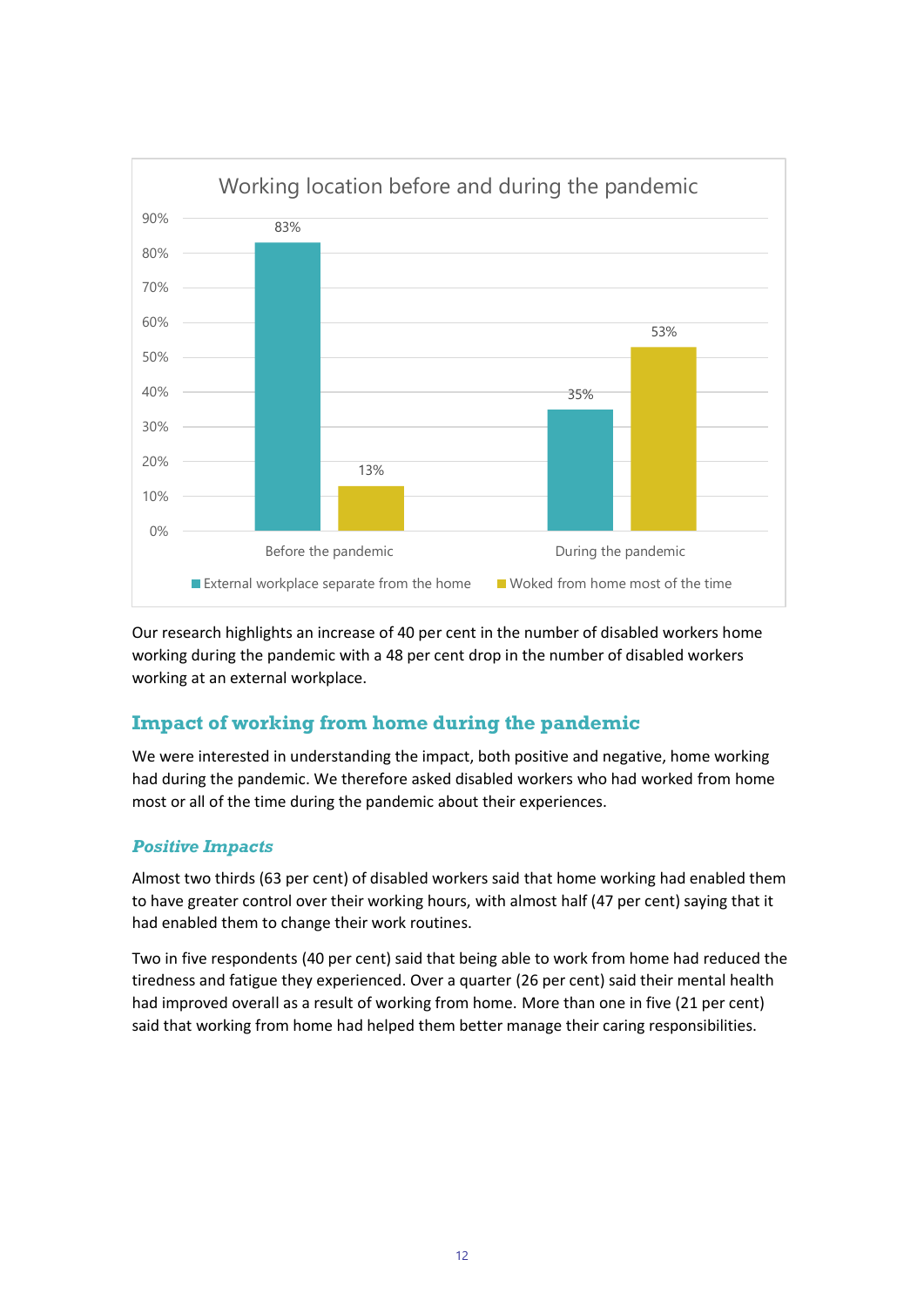

Our research highlights an increase of 40 per cent in the number of disabled workers home working during the pandemic with a 48 per cent drop in the number of disabled workers working at an external workplace.

## **Impact of working from home during the pandemic**

We were interested in understanding the impact, both positive and negative, home working had during the pandemic. We therefore asked disabled workers who had worked from home most or all of the time during the pandemic about their experiences.

#### *Positive Impacts*

Almost two thirds (63 per cent) of disabled workers said that home working had enabled them to have greater control over their working hours, with almost half (47 per cent) saying that it had enabled them to change their work routines.

Two in five respondents (40 per cent) said that being able to work from home had reduced the tiredness and fatigue they experienced. Over a quarter (26 per cent) said their mental health had improved overall as a result of working from home. More than one in five (21 per cent) said that working from home had helped them better manage their caring responsibilities.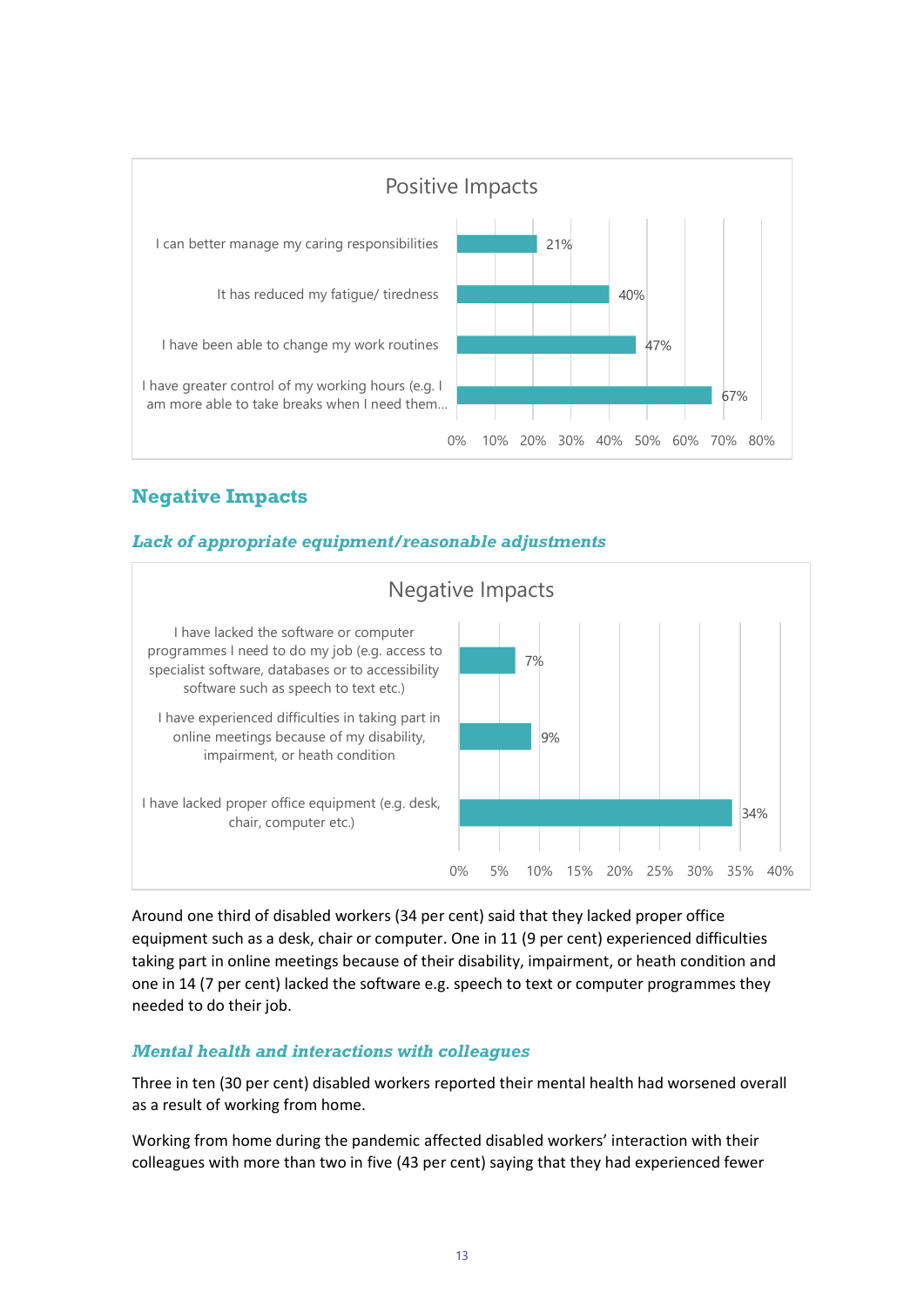

# **Negative Impacts**

#### *Lack of appropriate equipment/reasonable adjustments*



Around one third of disabled workers (34 per cent) said that they lacked proper office equipment such as a desk, chair or computer. One in 11 (9 per cent) experienced difficulties taking part in online meetings because of their disability, impairment, or heath condition and one in 14 (7 per cent) lacked the software e.g. speech to text or computer programmes they needed to do their job.

#### *Mental health and interactions with colleagues*

Three in ten (30 per cent) disabled workers reported their mental health had worsened overall as a result of working from home.

Working from home during the pandemic affected disabled workers' interaction with their colleagues with more than two in five (43 per cent) saying that they had experienced fewer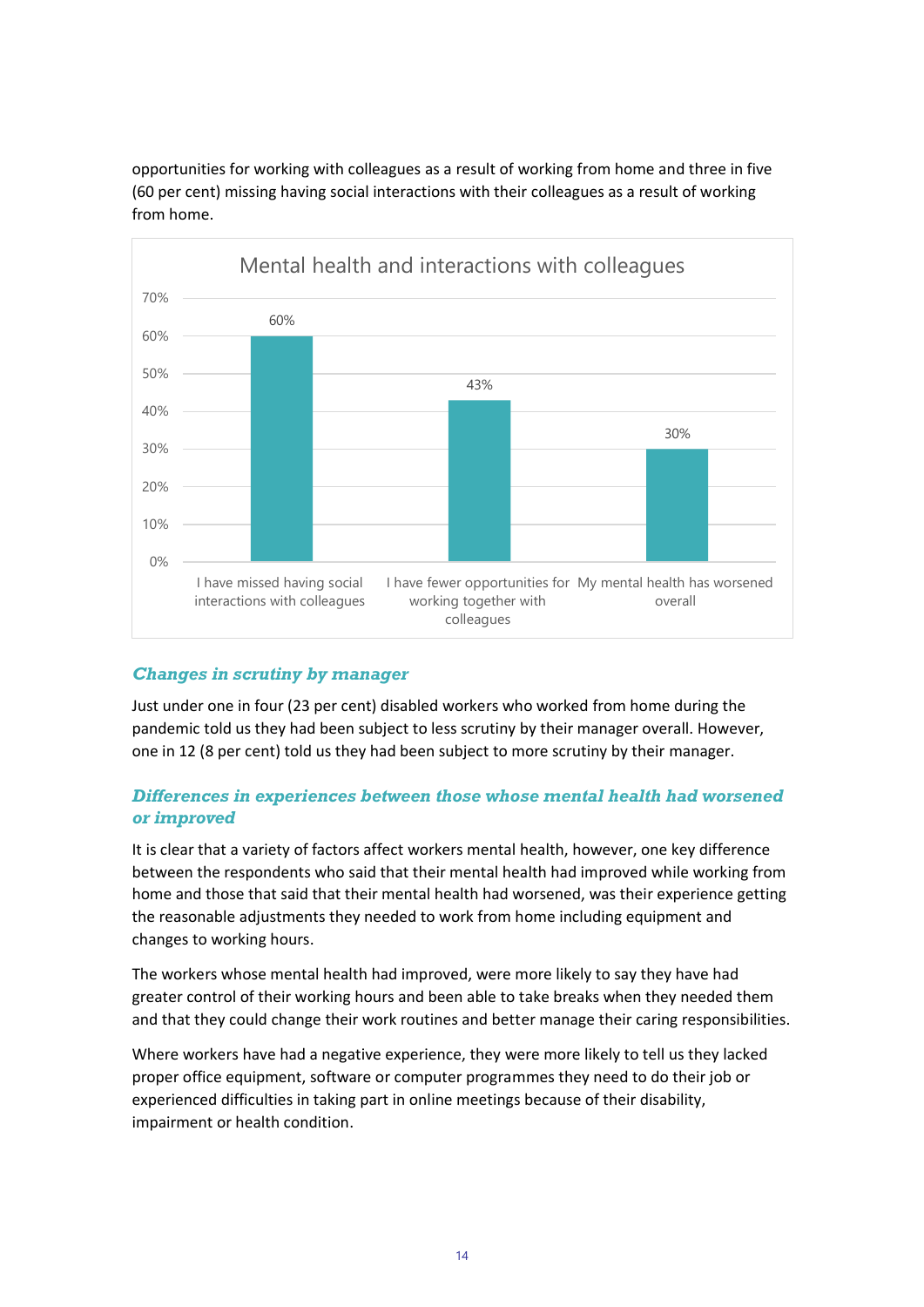opportunities for working with colleagues as a result of working from home and three in five (60 per cent) missing having social interactions with their colleagues as a result of working from home.



#### *Changes in scrutiny by manager*

Just under one in four (23 per cent) disabled workers who worked from home during the pandemic told us they had been subject to less scrutiny by their manager overall. However, one in 12 (8 per cent) told us they had been subject to more scrutiny by their manager.

#### *Differences in experiences between those whose mental health had worsened or improved*

It is clear that a variety of factors affect workers mental health, however, one key difference between the respondents who said that their mental health had improved while working from home and those that said that their mental health had worsened, was their experience getting the reasonable adjustments they needed to work from home including equipment and changes to working hours.

The workers whose mental health had improved, were more likely to say they have had greater control of their working hours and been able to take breaks when they needed them and that they could change their work routines and better manage their caring responsibilities.

Where workers have had a negative experience, they were more likely to tell us they lacked proper office equipment, software or computer programmes they need to do their job or experienced difficulties in taking part in online meetings because of their disability, impairment or health condition.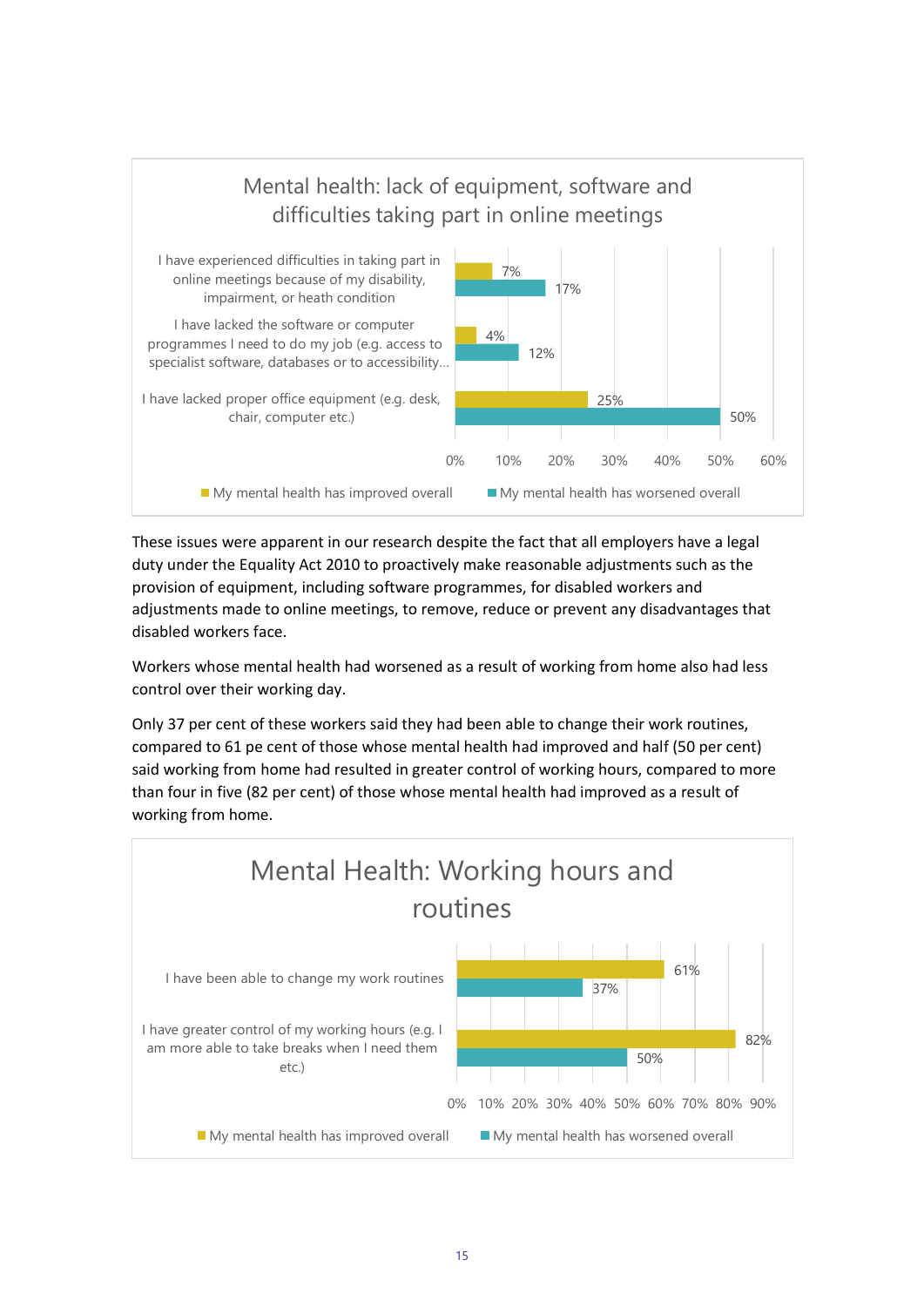

These issues were apparent in our research despite the fact that all employers have a legal duty under the Equality Act 2010 to proactively make reasonable adjustments such as the provision of equipment, including software programmes, for disabled workers and adjustments made to online meetings, to remove, reduce or prevent any disadvantages that disabled workers face.

Workers whose mental health had worsened as a result of working from home also had less control over their working day.

Only 37 per cent of these workers said they had been able to change their work routines, compared to 61 pe cent of those whose mental health had improved and half (50 per cent) said working from home had resulted in greater control of working hours, compared to more than four in five (82 per cent) of those whose mental health had improved as a result of working from home.

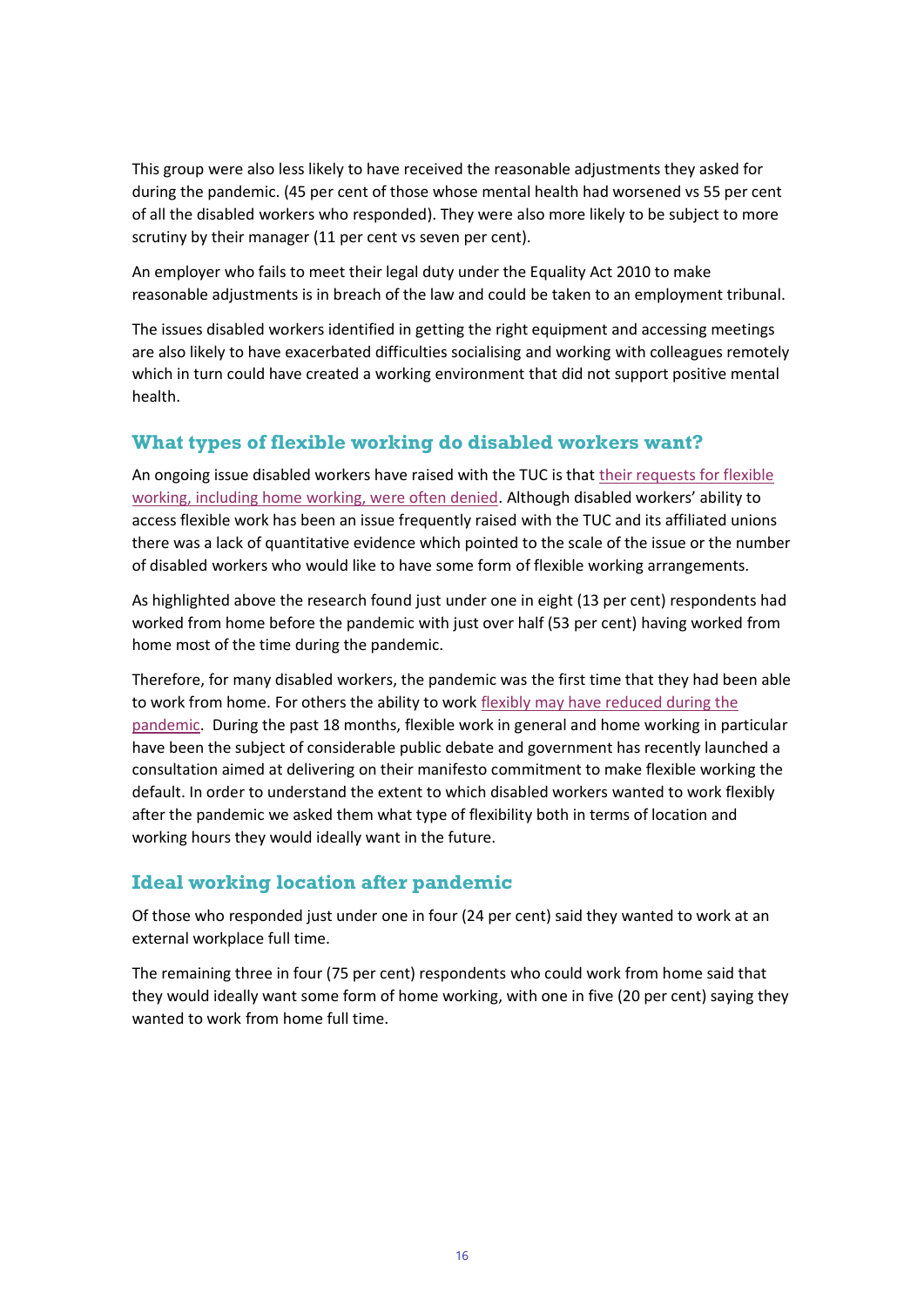This group were also less likely to have received the reasonable adjustments they asked for during the pandemic. (45 per cent of those whose mental health had worsened vs 55 per cent of all the disabled workers who responded). They were also more likely to be subject to more scrutiny by their manager (11 per cent vs seven per cent).

An employer who fails to meet their legal duty under the Equality Act 2010 to make reasonable adjustments is in breach of the law and could be taken to an employment tribunal.

The issues disabled workers identified in getting the right equipment and accessing meetings are also likely to have exacerbated difficulties socialising and working with colleagues remotely which in turn could have created a working environment that did not support positive mental health.

## **What types of flexible working do disabled workers want?**

An ongoing issue disabled workers have raised with the TUC is that [their requests for flexible](https://www.tuc.org.uk/committee-statements-disabled-workers-conference#secure)  [working, including home working, were often denied.](https://www.tuc.org.uk/committee-statements-disabled-workers-conference#secure) Although disabled workers' ability to access flexible work has been an issue frequently raised with the TUC and its affiliated unions there was a lack of quantitative evidence which pointed to the scale of the issue or the number of disabled workers who would like to have some form of flexible working arrangements.

As highlighted above the research found just under one in eight (13 per cent) respondents had worked from home before the pandemic with just over half (53 per cent) having worked from home most of the time during the pandemic.

Therefore, for many disabled workers, the pandemic was the first time that they had been able to work from home. For others the ability to work flexibly may have reduced during the [pandemic.](https://www.tuc.org.uk/research-analysis/reports/future-flexible-work) During the past 18 months, flexible work in general and home working in particular have been the subject of considerable public debate and government has recently launched a consultation aimed at delivering on their manifesto commitment to make flexible working the default. In order to understand the extent to which disabled workers wanted to work flexibly after the pandemic we asked them what type of flexibility both in terms of location and working hours they would ideally want in the future.

## **Ideal working location after pandemic**

Of those who responded just under one in four (24 per cent) said they wanted to work at an external workplace full time.

The remaining three in four (75 per cent) respondents who could work from home said that they would ideally want some form of home working, with one in five (20 per cent) saying they wanted to work from home full time.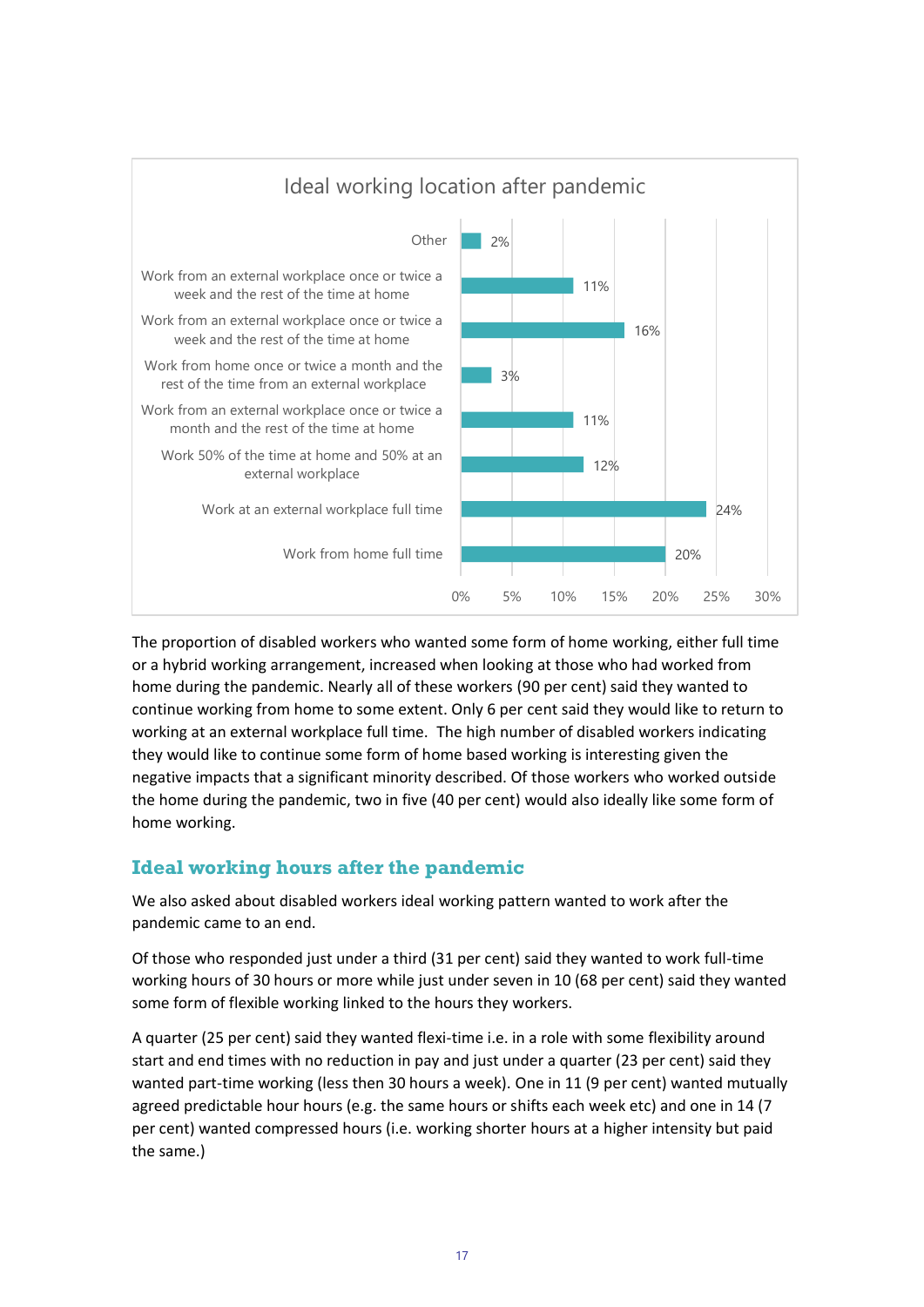

The proportion of disabled workers who wanted some form of home working, either full time or a hybrid working arrangement, increased when looking at those who had worked from home during the pandemic. Nearly all of these workers (90 per cent) said they wanted to continue working from home to some extent. Only 6 per cent said they would like to return to working at an external workplace full time. The high number of disabled workers indicating they would like to continue some form of home based working is interesting given the negative impacts that a significant minority described. Of those workers who worked outside the home during the pandemic, two in five (40 per cent) would also ideally like some form of home working.

## **Ideal working hours after the pandemic**

We also asked about disabled workers ideal working pattern wanted to work after the pandemic came to an end.

Of those who responded just under a third (31 per cent) said they wanted to work full-time working hours of 30 hours or more while just under seven in 10 (68 per cent) said they wanted some form of flexible working linked to the hours they workers.

A quarter (25 per cent) said they wanted flexi-time i.e. in a role with some flexibility around start and end times with no reduction in pay and just under a quarter (23 per cent) said they wanted part-time working (less then 30 hours a week). One in 11 (9 per cent) wanted mutually agreed predictable hour hours (e.g. the same hours or shifts each week etc) and one in 14 (7 per cent) wanted compressed hours (i.e. working shorter hours at a higher intensity but paid the same.)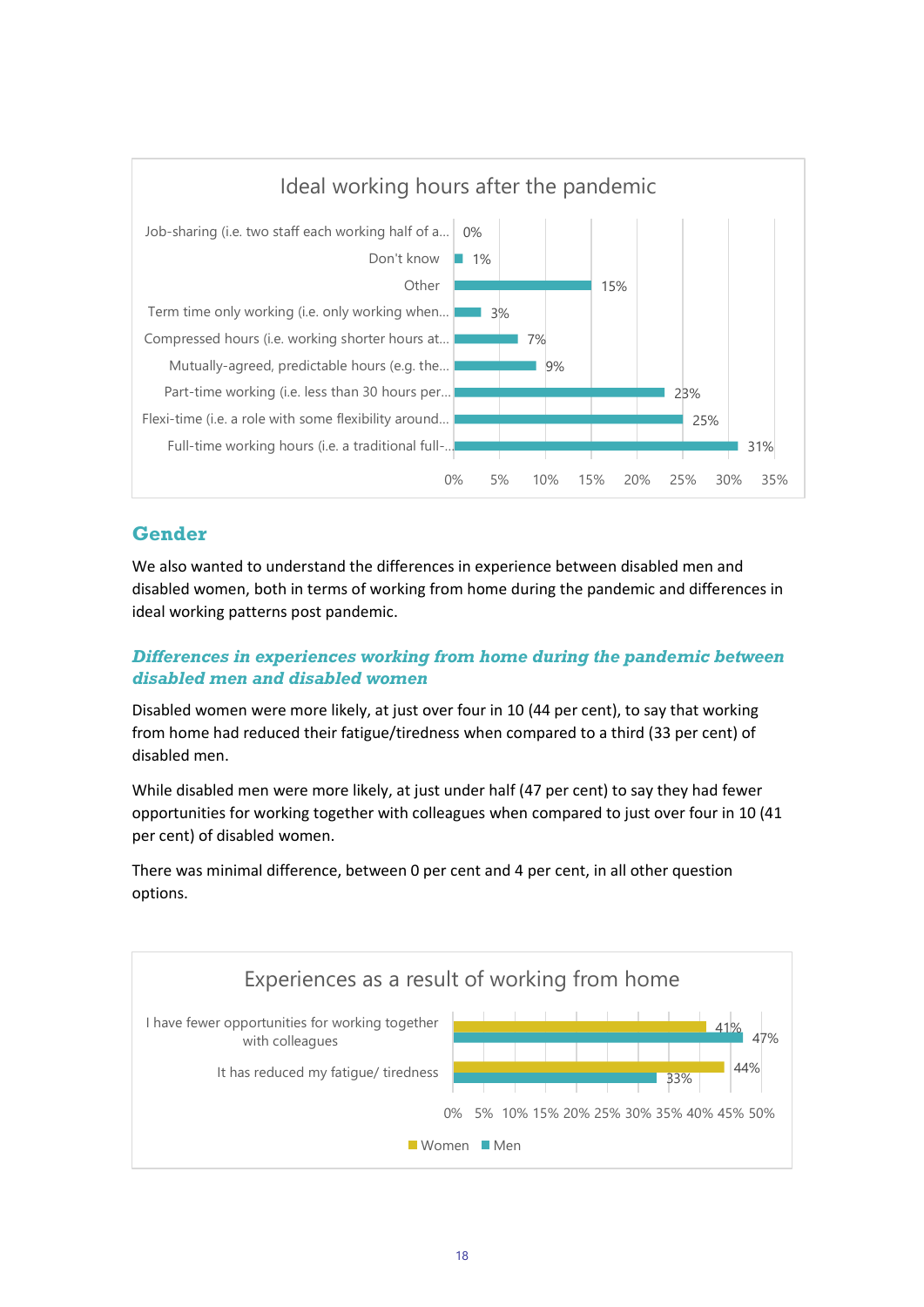

## **Gender**

We also wanted to understand the differences in experience between disabled men and disabled women, both in terms of working from home during the pandemic and differences in ideal working patterns post pandemic.

#### *Differences in experiences working from home during the pandemic between disabled men and disabled women*

Disabled women were more likely, at just over four in 10 (44 per cent), to say that working from home had reduced their fatigue/tiredness when compared to a third (33 per cent) of disabled men.

While disabled men were more likely, at just under half (47 per cent) to say they had fewer opportunities for working together with colleagues when compared to just over four in 10 (41 per cent) of disabled women.

There was minimal difference, between 0 per cent and 4 per cent, in all other question options.

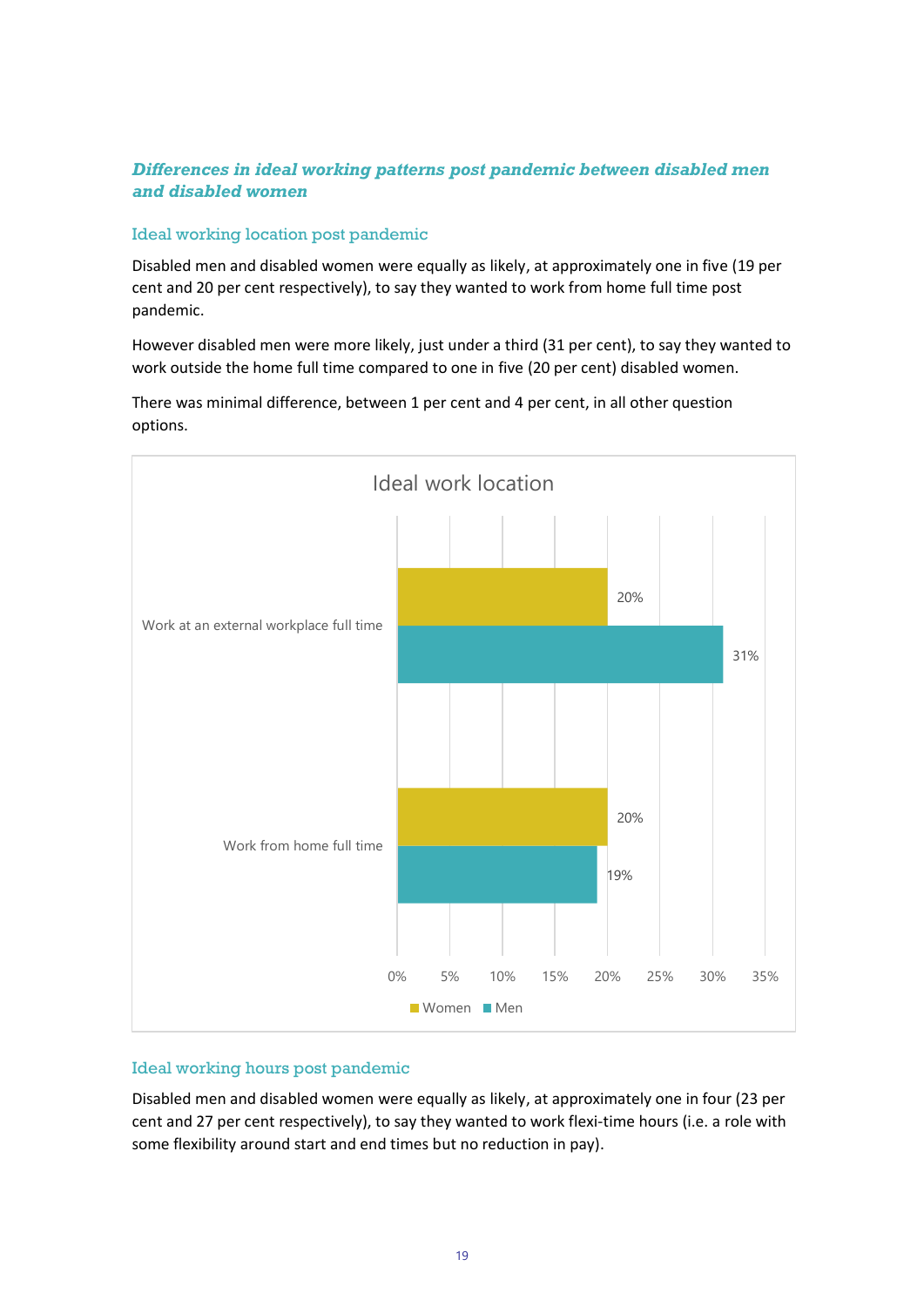#### *Differences in ideal working patterns post pandemic between disabled men and disabled women*

#### Ideal working location post pandemic

Disabled men and disabled women were equally as likely, at approximately one in five (19 per cent and 20 per cent respectively), to say they wanted to work from home full time post pandemic.

However disabled men were more likely, just under a third (31 per cent), to say they wanted to work outside the home full time compared to one in five (20 per cent) disabled women.



There was minimal difference, between 1 per cent and 4 per cent, in all other question options.

#### Ideal working hours post pandemic

Disabled men and disabled women were equally as likely, at approximately one in four (23 per cent and 27 per cent respectively), to say they wanted to work flexi-time hours (i.e. a role with some flexibility around start and end times but no reduction in pay).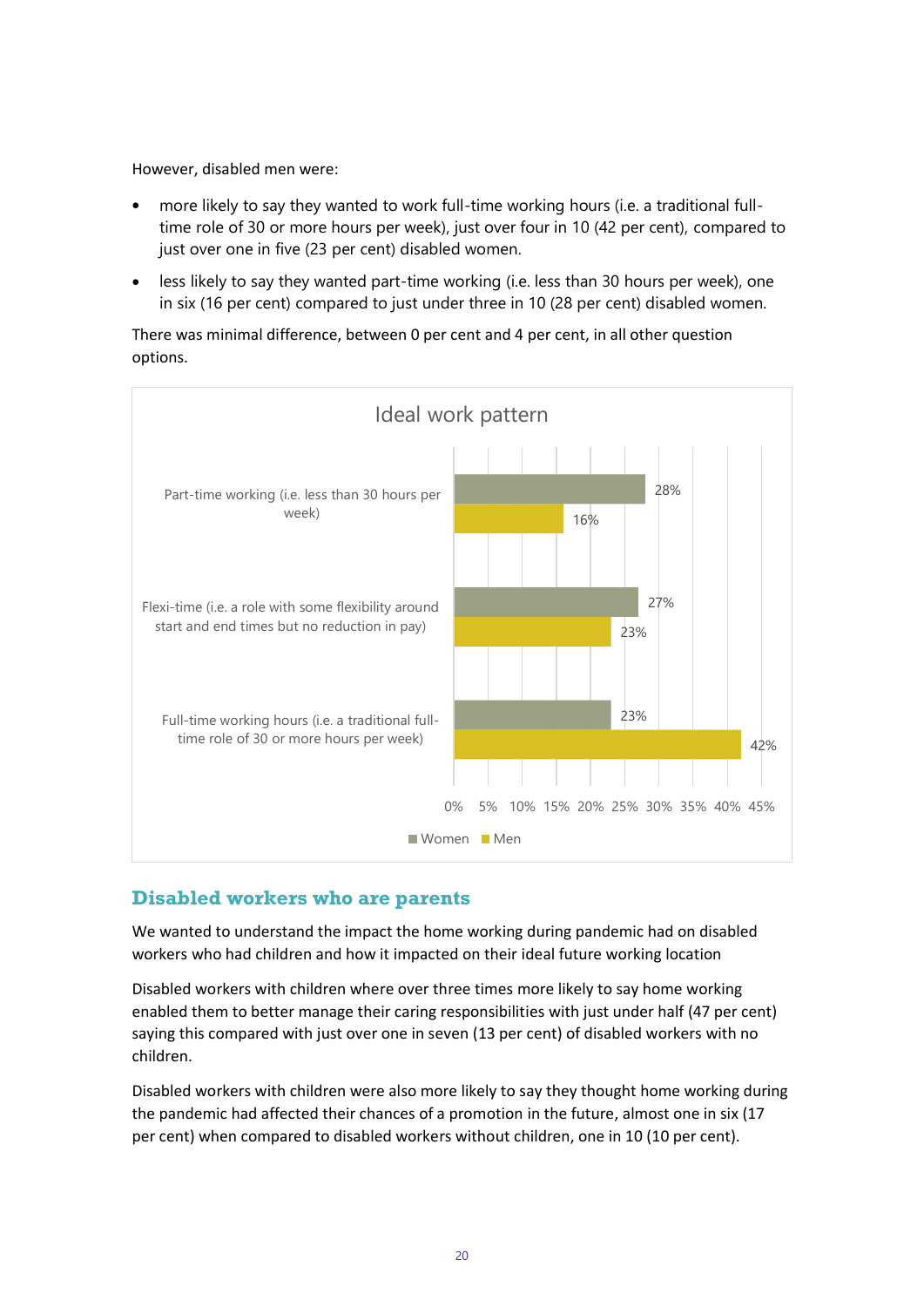However, disabled men were:

- more likely to say they wanted to work full-time working hours (i.e. a traditional fulltime role of 30 or more hours per week), just over four in 10 (42 per cent), compared to just over one in five (23 per cent) disabled women.
- less likely to say they wanted part-time working (i.e. less than 30 hours per week), one in six (16 per cent) compared to just under three in 10 (28 per cent) disabled women.

There was minimal difference, between 0 per cent and 4 per cent, in all other question options.



#### **Disabled workers who are parents**

We wanted to understand the impact the home working during pandemic had on disabled workers who had children and how it impacted on their ideal future working location

Disabled workers with children where over three times more likely to say home working enabled them to better manage their caring responsibilities with just under half (47 per cent) saying this compared with just over one in seven (13 per cent) of disabled workers with no children.

Disabled workers with children were also more likely to say they thought home working during the pandemic had affected their chances of a promotion in the future, almost one in six (17 per cent) when compared to disabled workers without children, one in 10 (10 per cent).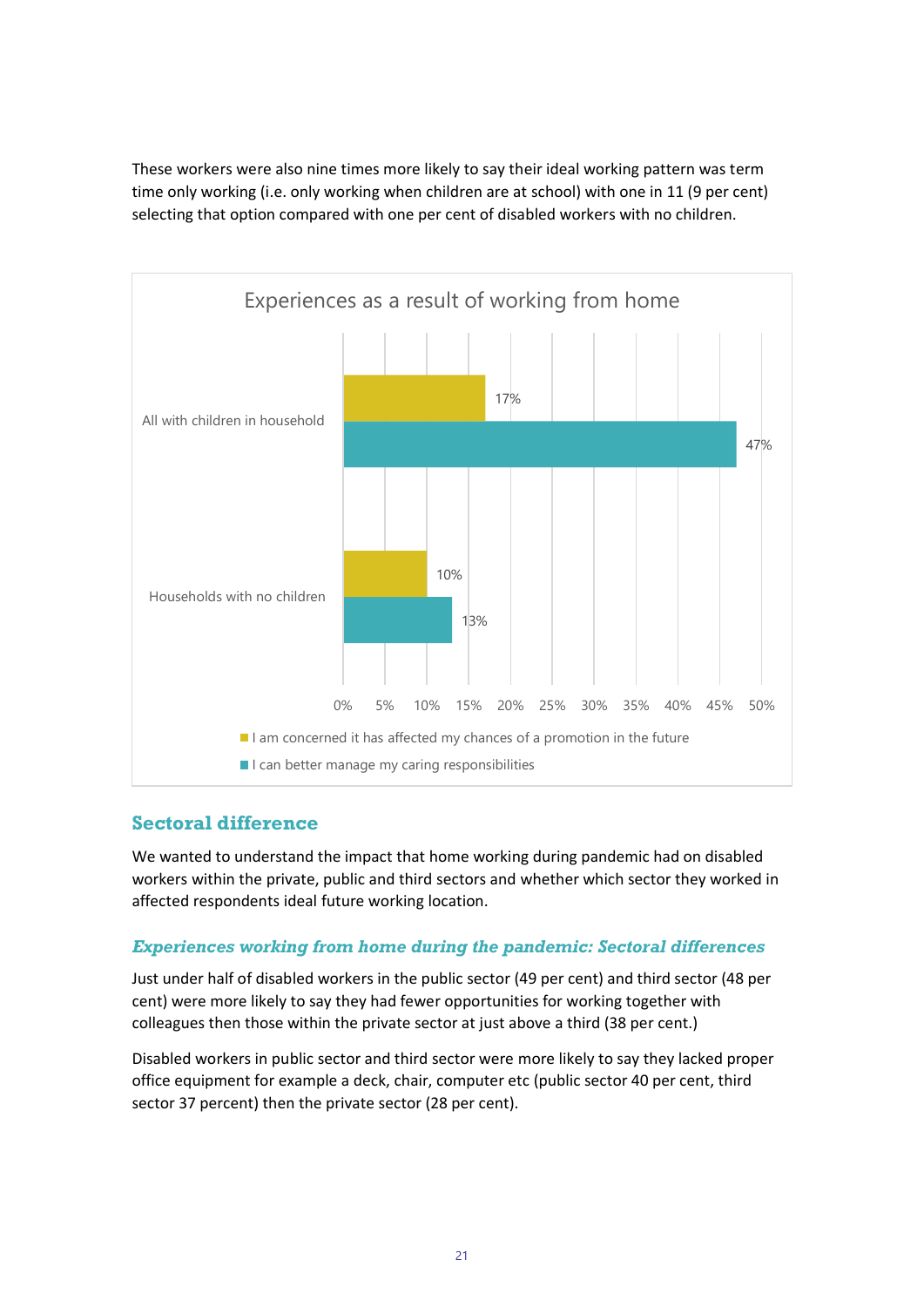These workers were also nine times more likely to say their ideal working pattern was term time only working (i.e. only working when children are at school) with one in 11 (9 per cent) selecting that option compared with one per cent of disabled workers with no children.



## **Sectoral difference**

We wanted to understand the impact that home working during pandemic had on disabled workers within the private, public and third sectors and whether which sector they worked in affected respondents ideal future working location.

#### *Experiences working from home during the pandemic: Sectoral differences*

Just under half of disabled workers in the public sector (49 per cent) and third sector (48 per cent) were more likely to say they had fewer opportunities for working together with colleagues then those within the private sector at just above a third (38 per cent.)

Disabled workers in public sector and third sector were more likely to say they lacked proper office equipment for example a deck, chair, computer etc (public sector 40 per cent, third sector 37 percent) then the private sector (28 per cent).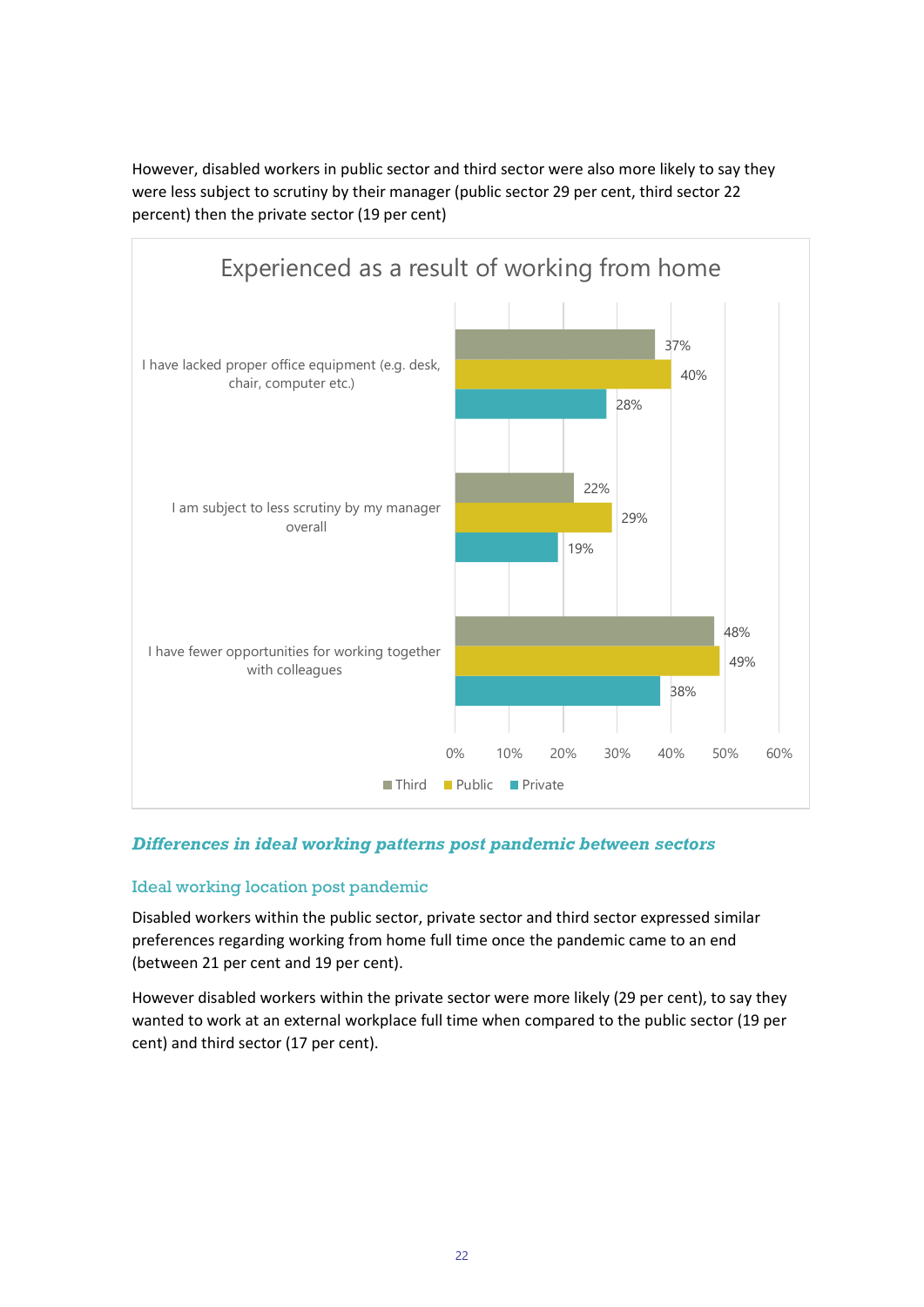However, disabled workers in public sector and third sector were also more likely to say they were less subject to scrutiny by their manager (public sector 29 per cent, third sector 22 percent) then the private sector (19 per cent)



#### *Differences in ideal working patterns post pandemic between sectors*

#### Ideal working location post pandemic

Disabled workers within the public sector, private sector and third sector expressed similar preferences regarding working from home full time once the pandemic came to an end (between 21 per cent and 19 per cent).

However disabled workers within the private sector were more likely (29 per cent), to say they wanted to work at an external workplace full time when compared to the public sector (19 per cent) and third sector (17 per cent).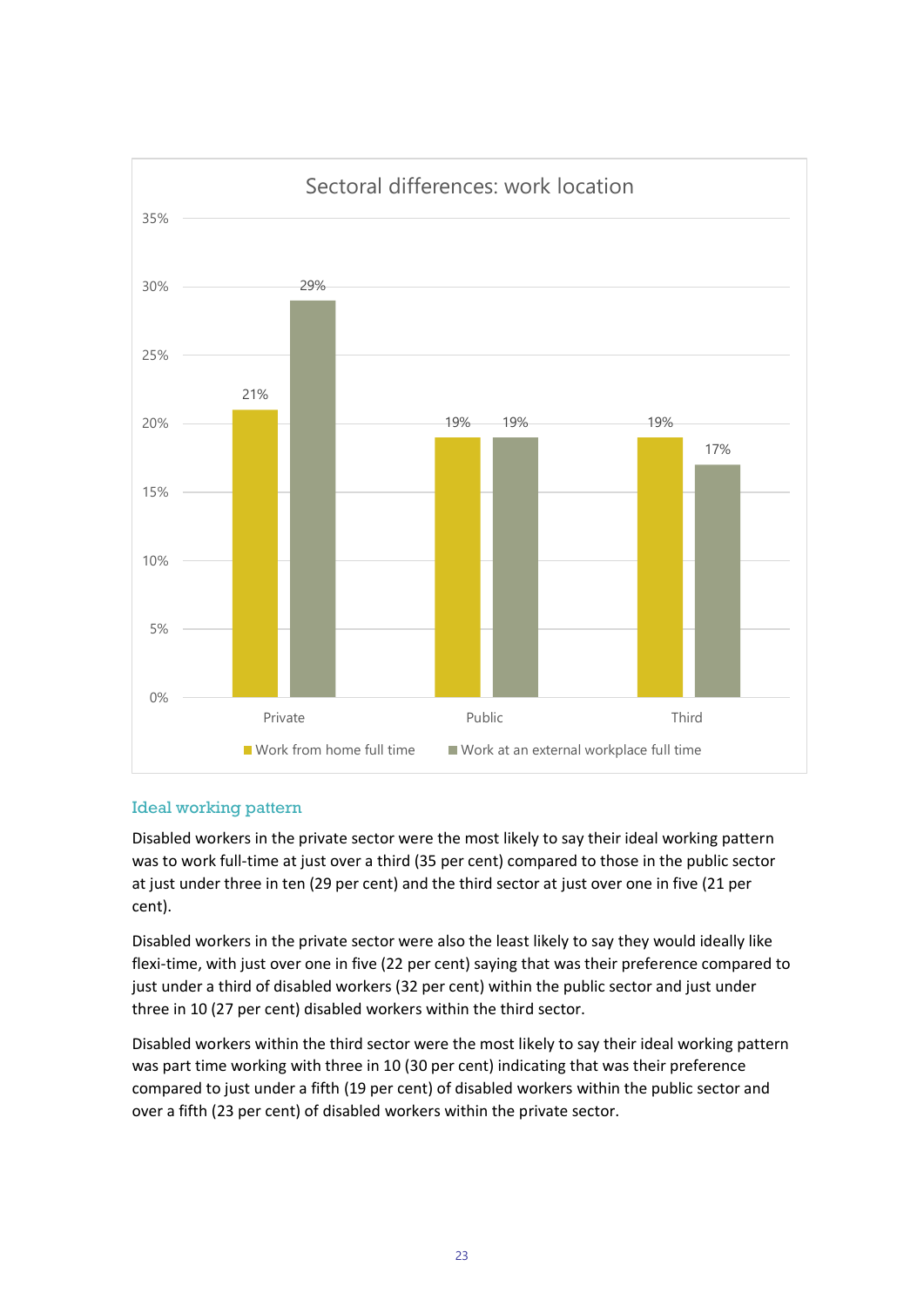

#### Ideal working pattern

Disabled workers in the private sector were the most likely to say their ideal working pattern was to work full-time at just over a third (35 per cent) compared to those in the public sector at just under three in ten (29 per cent) and the third sector at just over one in five (21 per cent).

Disabled workers in the private sector were also the least likely to say they would ideally like flexi-time, with just over one in five (22 per cent) saying that was their preference compared to just under a third of disabled workers (32 per cent) within the public sector and just under three in 10 (27 per cent) disabled workers within the third sector.

Disabled workers within the third sector were the most likely to say their ideal working pattern was part time working with three in 10 (30 per cent) indicating that was their preference compared to just under a fifth (19 per cent) of disabled workers within the public sector and over a fifth (23 per cent) of disabled workers within the private sector.